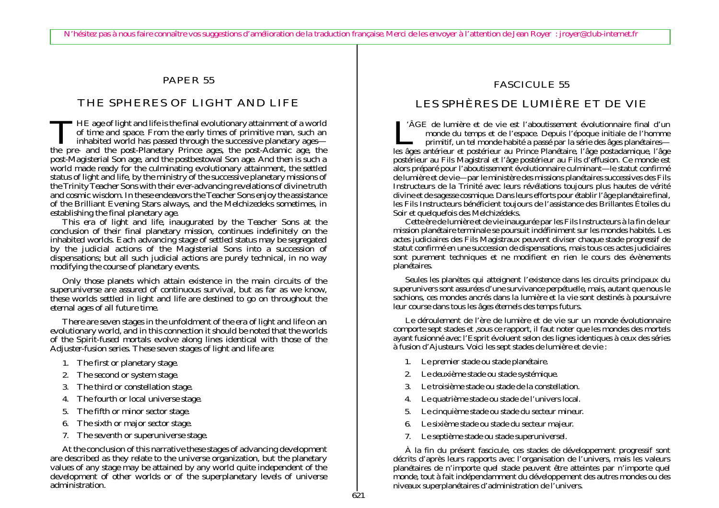# PAPER 55

# THE SPHERES OF LIGHT AND LIFE

THE age of light and life is the final evolutionary attainment of a world of time and space. From the early times of primitive man, such an inhabited world has passed through the successive planetary ages the pre- and the post-Planetary Prince ages, the post-Adamic age, the post-Magisterial Son age, and the postbestowal Son age. And then is such a world made ready for the culminating evolutionary attainment, the settled status of light and life, by the ministry of the successive planetary missions of the Trinity Teacher Sons with their ever-advancing revelations of divine truth and cosmic wisdom. In these endeavors the Teacher Sons enjoy the assistance of the Brilliant Evening Stars always, and the Melchizedeks sometimes, in establishing the final planetary age.

This era of light and life, inaugurated by the Teacher Sons at the conclusion of their final planetary mission, continues indefinitely on the inhabited worlds. Each advancing stage of settled status may be segregated by the judicial actions of the Magisterial Sons into a succession of dispensations; but all such judicial actions are purely technical, in no way modifying the course of planetary events.

Only those planets which attain existence in the main circuits of the superuniverse are assured of continuous survival, but as far as we know, these worlds settled in light and life are destined to go on throughout the eternal ages of all future time.

There are seven stages in the unfoldment of the era of light and life on an evolutionary world, and in this connection it should be noted that the worlds of the Spirit-fused mortals evolve along lines identical with those of the Adjuster-fusion series. These seven stages of light and life are:

- 1. The first or planetary stage.
- 2. The second or system stage.
- 3. The third or constellation stage.
- 4. The fourth or local universe stage.
- 5. The fifth or minor sector stage.
- 6. The sixth or major sector stage.
- 7. The seventh or superuniverse stage.

At the conclusion of this narrative these stages of advancing development are described as they relate to the universe organization, but the planetary values of any stage may be attained by any world quite independent of the development of other worlds or of the superplanetary levels of universe administration.

# FASCICULE 55

# LES SPHÈRES DE LUMIÈRE ET DE VIE

<sup>'</sup>ÂGE de lumière et de vie est l'aboutissement évolutionnaire final d'un monde du temps et de l'espace. Depuis l'époque initiale de l'homme primitif un tel monde habité a passé par la série des âges planétaires monde du temps et de l'espace. Depuis l'époque initiale de l'homme primitif, un tel monde habité a passé par la série des âges planétaires les âges antérieur et postérieur au Prince Planétaire, l'âge postadamique, l'âge postérieur au Fils Magistral et l'âge postérieur au Fils d'effusion. Ce monde est alors préparé pour l'aboutissement évolutionnaire culminant—le statut confirmé de lumière et de vie—par le ministère des missions planétaires successives des Fils Instructeurs de la Trinité avec leurs révélations toujours plus hautes de vérité les Fils Instructeurs bénéficient toujours de l'assistance des Brillantes Étoiles du Soir et quelquefois des Melchizédeks.

Cette ère de lumière et de vie inaugurée par les Fils Instructeurs à la fin de leur mission planétaire terminale se poursuit indéfiniment sur les mondes habités. Les actes judiciaires des Fils Magistraux peuvent diviser chaque stade progressif de statut confirmé en une succession de dispensations, mais tous ces actes judiciaires sont purement techniques et ne modifient en rien le cours des évènements planétaires.

Seules les planètes qui atteignent l'existence dans les circuits principaux du superunivers sont assurées d'une survivance perpétuelle, mais, autant que nous le sachions, ces mondes ancrés dans la lumière et la vie sont destinés à poursuivre leur course dans tous les âges éternels des temps futurs.

Le déroulement de l'ère de lumière et de vie sur un monde évolutionnaire comporte sept stades et ,sous ce rapport, il faut noter que les mondes des mortels ayant fusionné avec l'Esprit évoluent selon des lignes identiques à ceux des séries à fusion d'Ajusteurs. Voici les sept stades de lumière et de vie :

- 1. Le premier stade ou stade planétaire.
- 2. Le deuxième stade ou stade systémique.
- 3. Le troisième stade ou stade de la constellation.
- 4. Le quatrième stade ou stade de l'univers local.
- 5. Le cinquième stade ou stade du secteur mineur.
- 6. Le sixième stade ou stade du secteur majeur.
- 7. Le septième stade ou stade superuniversel.

À la fin du présent fascicule, ces stades de développement progressif sont décrits d'après leurs rapports avec l'organisation de l'univers, mais les valeurs planétaires de n'importe quel stade peuvent être atteintes par n'importe quel monde, tout à fait indépendamment du développement des autres mondes ou des niveaux superplanétaires d'administration de l'univers.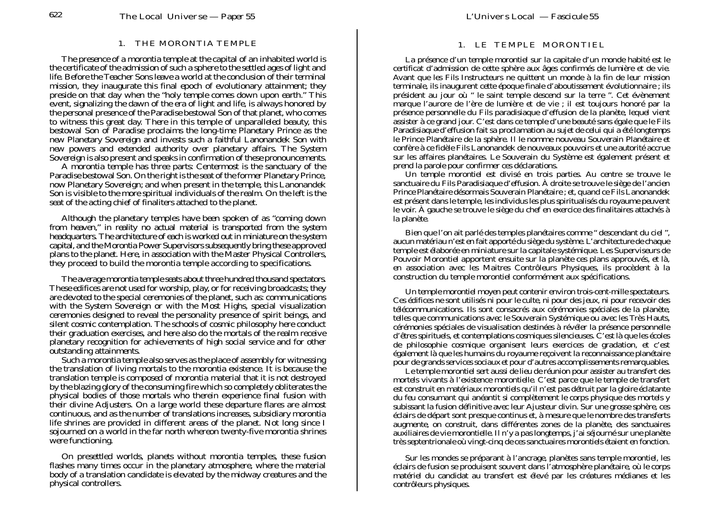#### 1. THE MORONTIA TEMPLE

The presence of a morontia temple at the capital of an inhabited world is the certificate of the admission of such a sphere to the settled ages of light and life. Before the Teacher Sons leave a world at the conclusion of their terminal mission, they inaugurate this final epoch of evolutionary attainment; they preside on that day when the "holy temple comes down upon earth." This event, signalizing the dawn of the era of light and life, is always honored by the personal presence of the Paradise bestowal Son of that planet, who comes to witness this great day. There in this temple of unparalleled beauty, this bestowal Son of Paradise proclaims the long-time Planetary Prince as the new Planetary Sovereign and invests such a faithful Lanonandek Son with new powers and extended authority over planetary affairs. The System Sovereign is also present and speaks in confirmation of these pronouncements.

A morontia temple has three parts: Centermost is the sanctuary of the Paradise bestowal Son. On the right is the seat of the former Planetary Prince, now Planetary Sovereign; and when present in the temple, this Lanonandek Son is visible to the more spiritual individuals of the realm. On the left is the seat of the acting chief of finaliters attached to the planet.

Although the planetary temples have been spoken of as "coming down from heaven," in reality no actual material is transported from the system headquarters. The architecture of each is worked out in miniature on the system capital, and the Morontia Power Supervisors subsequently bring these approved plans to the planet. Here, in association with the Master Physical Controllers, they proceed to build the morontia temple according to specifications.

The average morontia temple seats about three hundred thousand spectators. These edifices are not used for worship, play, or for receiving broadcasts; they are devoted to the special ceremonies of the planet, such as: communications with the System Sovereign or with the Most Highs, special visualization ceremonies designed to reveal the personality presence of spirit beings, and silent cosmic contemplation. The schools of cosmic philosophy here conduct their graduation exercises, and here also do the mortals of the realm receive planetary recognition for achievements of high social service and for other outstanding attainments.

Such a morontia temple also serves as the place of assembly for witnessing the translation of living mortals to the morontia existence. It is because the translation temple is composed of morontia material that it is not destroyed by the blazing glory of the consuming fire which so completely obliterates the physical bodies of those mortals who therein experience final fusion with their divine Adjusters. On a large world these departure flares are almost continuous, and as the number of translations increases, subsidiary morontia life shrines are provided in different areas of the planet. Not long since I sojourned on a world in the far north whereon twenty-five morontia shrines were functioning.

On presettled worlds, planets without morontia temples, these fusion flashes many times occur in the planetary atmosphere, where the material body of a translation candidate is elevated by the midway creatures and the physical controllers.

## 1. LE TEMPLE MORONTIEL

La présence d'un temple morontiel sur la capitale d'un monde habité est le certificat d'admission de cette sphère aux âges confirmés de lumière et de vie. Avant que les Fils Instructeurs ne quittent un monde à la fin de leur mission terminale, ils inaugurent cette époque finale d'aboutissement évolutionnaire ; ils président au jour où " le saint temple descend sur la terre ". Cet évènement marque l'aurore de l'ère de lumière et de vie ; il est toujours honoré par la présence personnelle du Fils paradisiaque d'effusion de la planète, lequel vient assister à ce grand jour. C'est dans ce temple d'une beauté sans égale que le Fils Paradisiaque d'effusion fait sa proclamation au sujet de celui qui a été longtemps le Prince Planétaire de la sphère. Il le nomme nouveau Souverain Planétaire et confère à ce fidèle Fils Lanonandek de nouveaux pouvoirs et une autorité accrue sur les affaires planétaires. Le Souverain du Système est également présent et prend la parole pour confirmer ces déclarations.

Un temple morontiel est divisé en trois parties. Au centre se trouve le sanctuaire du Fils Paradisiaque d'effusion. À droite se trouve le siège de l'ancien Prince Planétaire désormais Souverain Planétaire ; et, quand ce Fils Lanonandek est présent dans le temple, les individus les plus spiritualisés du royaume peuvent le voir. À gauche se trouve le siège du chef en exercice des finalitaires attachés à la planète.

Bien que l'on ait parlé des temples planétaires comme " descendant du ciel ", aucun matériau n'est en fait apporté du siège du système. L'architecture de chaque temple est élaborée en miniature sur la capitale systémique. Les Superviseurs de Pouvoir Morontiel apportent ensuite sur la planète ces plans approuvés, et là, en association avec les Maitres Contrôleurs Physiques, ils procèdent à la construction du temple morontiel conformément aux spécifications.

Un temple morontiel moyen peut contenir environ trois-cent-mille spectateurs. Ces édifices ne sont utilisés ni pour le culte, ni pour des jeux, ni pour recevoir des télécommunications. Ils sont consacrés aux cérémonies spéciales de la planète, telles que communications avec le Souverain Systémique ou avec les Très Hauts, cérémonies spéciales de visualisation destinées à révéler la présence personnelle d'êtres spirituels, et contemplations cosmiques silencieuses. C'est là que les écoles de philosophie cosmique organisent leurs exercices de gradation, et c'est également là que les humains du royaume reçoivent la reconnaissance planétaire pour de grands services sociaux et pour d'autres accomplissements remarquables.

Le temple morontiel sert aussi de lieu de réunion pour assister au transfert des mortels vivants à l'existence morontielle. C'est parce que le temple de transfert est construit en matériaux morontiels qu'il n'est pas détruit par la gloire éclatante du feu consumant qui anéantit si complètement le corps physique des mortels y subissant la fusion définitive avec leur Ajusteur divin. Sur une grosse sphère, ces éclairs de départ sont presque continus et, à mesure que le nombre des transferts augmente, on construit, dans différentes zones de la planète, des sanctuaires auxiliaires de vie morontielle. Il n'y a pas longtemps, j'ai séjourné sur une planète très septentrionale où vingt-cinq de ces sanctuaires morontiels étaient en fonction.

Sur les mondes se préparant à l'ancrage, planètes sans temple morontiel, les éclairs de fusion se produisent souvent dans l'atmosphère planétaire, où le corps matériel du candidat au transfert est élevé par les créatures médianes et les contrôleurs physiques.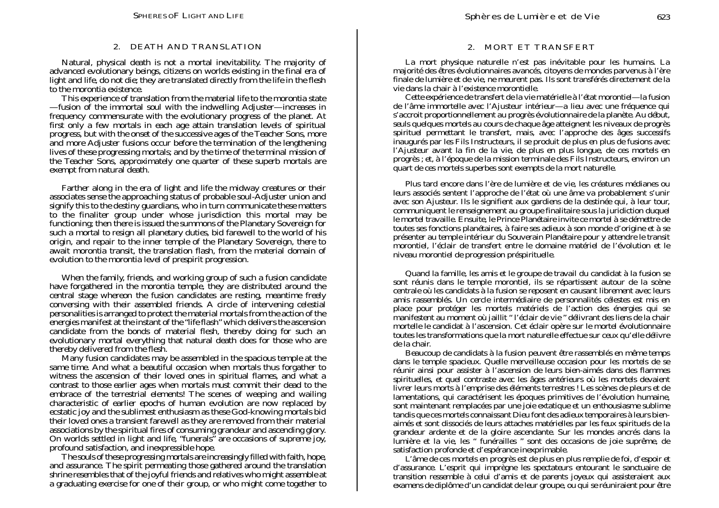## 2. DEATH AND TRANSLATION

Natural, physical death is not a mortal inevitability. The majority of advanced evolutionary beings, citizens on worlds existing in the final era of light and life, do not die; they are translated directly from the life in the flesh to the morontia existence.

This experience of translation from the material life to the morontia state —fusion of the immortal soul with the indwelling Adjuster—increases in frequency commensurate with the evolutionary progress of the planet. At first only a few mortals in each age attain translation levels of spiritual progress, but with the onset of the successive ages of the Teacher Sons, more and more Adjuster fusions occur before the termination of the lengthening lives of these progressing mortals; and by the time of the terminal mission of the Teacher Sons, approximately one quarter of these superb mortals are exempt from natural death.

Farther along in the era of light and life the midway creatures or their associates sense the approaching status of probable soul-Adjuster union and signify this to the destiny guardians, who in turn communicate these matters to the finaliter group under whose jurisdiction this mortal may be functioning; then there is issued the summons of the Planetary Sovereign for such a mortal to resign all planetary duties, bid farewell to the world of his origin, and repair to the inner temple of the Planetary Sovereign, there to await morontia transit, the translation flash, from the material domain of evolution to the morontia level of prespirit progression.

When the family, friends, and working group of such a fusion candidate have forgathered in the morontia temple, they are distributed around the central stage whereon the fusion candidates are resting, meantime freely conversing with their assembled friends. A circle of intervening celestial personalities is arranged to protect the material mortals from the action of the energies manifest at the instant of the "life flash" which delivers the ascension candidate from the bonds of material flesh, thereby doing for such an evolutionary mortal everything that natural death does for those who are thereby delivered from the flesh.

Many fusion candidates may be assembled in the spacious temple at the same time. And what a beautiful occasion when mortals thus forgather to witness the ascension of their loved ones in spiritual flames, and what a contrast to those earlier ages when mortals must commit their dead to the embrace of the terrestrial elements! The scenes of weeping and wailing characteristic of earlier epochs of human evolution are now replaced by ecstatic joy and the sublimest enthusiasm as these God-knowing mortals bid their loved ones a transient farewell as they are removed from their material associations by the spiritual fires of consuming grandeur and ascending glory. On worlds settled in light and life, "funerals" are occasions of supreme joy, profound satisfaction, and inexpressible hope.

The souls of these progressing mortals are increasingly filled with faith, hope, and assurance. The spirit permeating those gathered around the translation shrine resembles that of the joyful friends and relatives who might assemble at <sup>a</sup> graduating exercise for one of their group, or who might come together to

#### 2. MORT ET TRANSFERT

La mort physique naturelle n'est pas inévitable pour les humains. La majorité des êtres évolutionnaires avancés, citoyens de mondes parvenus à l'ère finale de lumière et de vie, ne meurent pas. Ils sont transférés directement de la vie dans la chair à l'existence morontielle.

Cette expérience de transfert de la vie matérielle à l'état morontiel—la fusion de l'âme immortelle avec l'Ajusteur intérieur—a lieu avec une fréquence qui s'accroit proportionnellement au progrès évolutionnaire de la planète. Au début, seuls quelques mortels au cours de chaque âge atteignent les niveaux de progrès spirituel permettant le transfert, mais, avec l'approche des âges successifs inaugurés par les Fils Instructeurs, il se produit de plus en plus de fusions avec l'Ajusteur avant la fin de la vie, de plus en plus longue, de ces mortels en progrès ; et, à l'époque de la mission terminale des Fils Instructeurs, environ un quart de ces mortels superbes sont exempts de la mort naturelle.

Plus tard encore dans l'ère de lumière et de vie, les créatures médianes ou leurs associés sentent l'approche de l'état où une âme va probablement s'unir avec son Ajusteur. Ils le signifient aux gardiens de la destinée qui, à leur tour, communiquent le renseignement au groupe finalitaire sous la juridiction duquel le mortel travaille. Ensuite, le Prince Planétaire invite ce mortel à se démettre de toutes ses fonctions planétaires, à faire ses adieux à son monde d'origine et à se présenter au temple intérieur du Souverain Planétaire pour y attendre le transit morontiel, l'éclair de transfert entre le domaine matériel de l'évolution et le niveau morontiel de progression préspirituelle.

Quand la famille, les amis et le groupe de travail du candidat à la fusion se sont réunis dans le temple morontiel, ils se répartissent autour de la scène centrale où les candidats à la fusion se reposent en causant librement avec leurs amis rassemblés. Un cercle intermédiaire de personnalités célestes est mis en place pour protéger les mortels matériels de l'action des énergies qui se manifestent au moment où jaillit " l'éclair de vie " délivrant des liens de la chair mortelle le candidat à l'ascension. Cet éclair opère sur le mortel évolutionnaire toutes les transformations que la mort naturelle effectue sur ceux qu'elle délivre de la chair.

Beaucoup de candidats à la fusion peuvent être rassemblés en même temps dans le temple spacieux. Quelle merveilleuse occasion pour les mortels de se réunir ainsi pour assister à l'ascension de leurs bien-aimés dans des flammes spirituelles, et quel contraste avec les âges antérieurs où les mortels devaient livrer leurs morts à l'emprise des éléments terrestres ! Les scènes de pleurs et de lamentations, qui caractérisent les époques primitives de l'évolution humaine, sont maintenant remplacées par une joie extatique et un enthousiasme sublime tandis que ces mortels connaissant Dieu font des adieux temporaires à leurs bienaimés et sont dissociés de leurs attaches matérielles par les feux spirituels de la grandeur ardente et de la gloire ascendante. Sur les mondes ancrés dans la lumière et la vie, les " funérailles " sont des occasions de joie suprême, de satisfaction profonde et d'espérance inexprimable.

L'âme de ces mortels en progrès est de plus en plus remplie de foi, d'espoir et d'assurance. L'esprit qui imprègne les spectateurs entourant le sanctuaire de transition ressemble à celui d'amis et de parents joyeux qui assisteraient aux examens de diplôme d'un candidat de leur groupe, ou qui se réuniraient pour être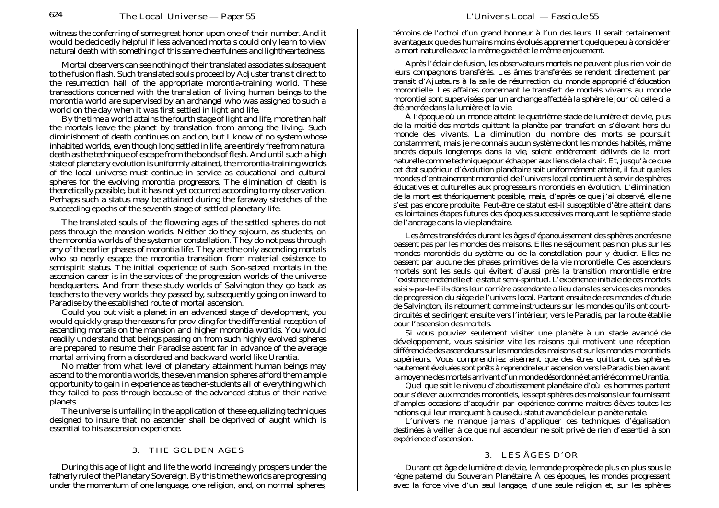witness the conferring of some great honor upon one of their number. And it would be decidedly helpful if less advanced mortals could only learn to view natural death with something of this same cheerfulness and lightheartedness.

Mortal observers can see nothing of their translated associates subsequent to the fusion flash. Such translated souls proceed by Adjuster transit direct to the resurrection hall of the appropriate morontia-training world. These transactions concerned with the translation of living human beings to the morontia world are supervised by an archangel who was assigned to such a world on the day when it was first settled in light and life.

By the time a world attains the fourth stage of light and life, more than half the mortals leave the planet by translation from among the living. Such diminishment of death continues on and on, but I know of no system whose inhabited worlds, even though long settled in life, are entirely free from natural death as the technique of escape from the bonds of flesh. And until such a high state of planetary evolution is uniformly attained, the morontia-training worlds of the local universe must continue in service as educational and cultural spheres for the evolving morontia progressors. The elimination of death is theoretically possible, but it has not yet occurred according to my observation. Perhaps such a status may be attained during the faraway stretches of the succeeding epochs of the seventh stage of settled planetary life.

The translated souls of the flowering ages of the settled spheres do not pass through the mansion worlds. Neither do they sojourn, as students, on the morontia worlds of the system or constellation. They do not pass through any of the earlier phases of morontia life. They are the only ascending mortals who so nearly escape the morontia transition from material existence to semispirit status. The initial experience of such *Son-seized* mortals in the ascension career is in the services of the progression worlds of the universe headquarters. And from these study worlds of Salvington they go back as teachers to the very worlds they passed by, subsequently going on inward to Paradise by the established route of mortal ascension.

Could you but visit a planet in an advanced stage of development, you would quickly grasp the reasons for providing for the differential reception of ascending mortals on the mansion and higher morontia worlds. You would readily understand that beings passing on from such highly evolved spheres are prepared to resume their Paradise ascent far in advance of the average mortal arriving from a disordered and backward world like Urantia.

No matter from what level of planetary attainment human beings may ascend to the morontia worlds, the seven mansion spheres afford them ample opportunity to gain in experience as teacher-students all of everything which they failed to pass through because of the advanced status of their native planets.

The universe is unfailing in the application of these equalizing techniques designed to insure that no ascender shall be deprived of aught which is essential to his ascension experience.

## 3. THE GOLDEN AGES

During this age of light and life the world increasingly prospers under the fatherly rule of the Planetary Sovereign. By this time the worlds are progressing under the momentum of one language, one religion, and, on normal spheres, témoins de l'octroi d'un grand honneur à l'un des leurs. Il serait certainement avantageux que des humains moins évolués apprennent quelque peu à considérer la mort naturelle avec la même gaieté et le même enjouement.

Après l'éclair de fusion, les observateurs mortels ne peuvent plus rien voir de leurs compagnons transférés. Les âmes transférées se rendent directement par transit d'Ajusteurs à la salle de résurrection du monde approprié d'éducation morontielle. Les affaires concernant le transfert de mortels vivants au monde morontiel sont supervisées par un archange affecté à la sphère le jour où celle-ci a été ancrée dans la lumière et la vie.

À l'époque où un monde atteint le quatrième stade de lumière et de vie, plus de la moitié des mortels quittent la planète par transfert en s'élevant hors du monde des vivants. La diminution du nombre des morts se poursuit constamment, mais je ne connais aucun système dont les mondes habités, même ancrés depuis longtemps dans la vie, soient entièrement délivrés de la mort naturelle comme technique pour échapper aux liens de la chair. Et, jusqu'à ce que cet état supérieur d'évolution planétaire soit uniformément atteint, il faut que les mondes d'entrainement morontiel de l'univers local continuent à servir de sphères éducatives et culturelles aux progresseurs morontiels en évolution. L'élimination de la mort est théoriquement possible, mais, d'après ce que j'ai observé, elle ne s'est pas encore produite. Peut-être ce statut est-il susceptible d'être atteint dans les lointaines étapes futures des époques successives marquant le septième stade de l'ancrage dans la vie planétaire.

Les âmes transférées durant les âges d'épanouissement des sphères ancrées ne passent pas par les mondes des maisons. Elles ne séjournent pas non plus sur les mondes morontiels du système ou de la constellation pour y étudier. Elles ne passent par aucune des phases primitives de la vie morontielle. Ces ascendeurs mortels sont les seuls qui évitent d'aussi près la transition morontielle entre l'existence matérielle et le statut semi-spirituel. L'expérience initiale de ces mortels *saisis-par-le-Fils* dans leur carrière ascendante a lieu dans les services des mondes de progression du siège de l'univers local. Partant ensuite de ces mondes d'étude de Salvington, ils retournent comme instructeurs sur les mondes qu'ils ont courtcircuités et se dirigent ensuite vers l'intérieur, vers le Paradis, par la route établie pour l'ascension des mortels.

Si vous pouviez seulement visiter une planète à un stade avancé de développement, vous saisiriez vite les raisons qui motivent une réception différenciée des ascendeurs sur les mondes des maisons et sur les mondes morontiels supérieurs. Vous comprendriez aisément que des êtres quittant ces sphères hautement évoluées sont prêts à reprendre leur ascension vers le Paradis bien avant la moyenne des mortels arrivant d'un monde désordonné et arriéré comme Urantia.

Quel que soit le niveau d'aboutissement planétaire d'où les hommes partent pour s'élever aux mondes morontiels, les sept sphères des maisons leur fournissent d'amples occasions d'acquérir par expérience comme maitres-élèves toutes les notions qui leur manquent à cause du statut avancé de leur planète natale.

L'univers ne manque jamais d'appliquer ces techniques d'égalisation destinées à veiller à ce que nul ascendeur ne soit privé de rien d'essentiel à son expérience d'ascension.

## 3. LES ÂGES D'OR

Durant cet âge de lumière et de vie, le monde prospère de plus en plus sous le règne paternel du Souverain Planétaire. À ces époques, les mondes progressent avec la force vive d'un seul langage, d'une seule religion et, sur les sphères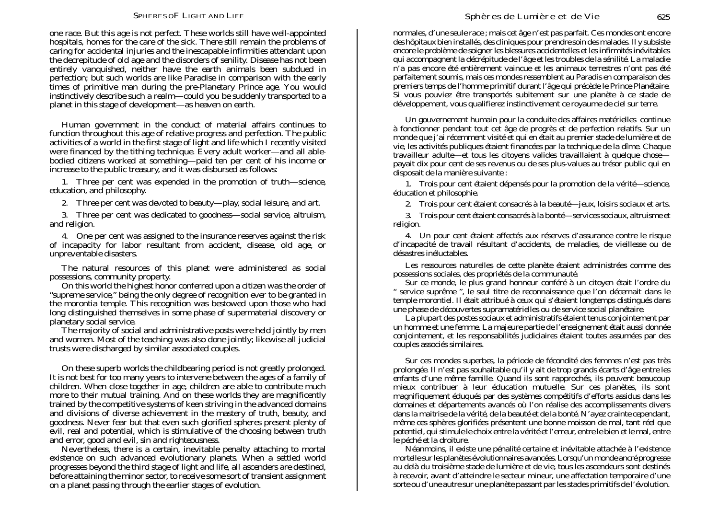one race. But this age is not perfect. These worlds still have well-appointed hospitals, homes for the care of the sick. There still remain the problems of caring for accidental injuries and the inescapable infirmities attendant upon the decrepitude of old age and the disorders of senility. Disease has not been entirely vanquished, neither have the earth animals been subdued in perfection; but such worlds are like Paradise in comparison with the early times of primitive man during the pre-Planetary Prince age. You would instinctively describe such a realm—could you be suddenly transported to a planet in this stage of development—as heaven on earth.

Human government in the conduct of material affairs continues to function throughout this age of relative progress and perfection. The public activities of a world in the first stage of light and life which I recently visited were financed by the tithing technique. Every adult worker—and all ablebodied citizens worked at something—paid ten per cent of his income or increase to the public treasury, and it was disbursed as follows:

1. Three per cent was expended in the promotion of truth—science, education, and philosophy.

2. Three per cent was devoted to beauty—play, social leisure, and art.

3. Three per cent was dedicated to goodness—social service, altruism, and religion.

4. One per cent was assigned to the insurance reserves against the risk of incapacity for labor resultant from accident, disease, old age, or unpreventable disasters.

The natural resources of this planet were administered as social possessions, community property.

On this world the highest honor conferred upon a citizen was the order of "supreme service," being the only degree of recognition ever to be granted in the morontia temple. This recognition was bestowed upon those who had long distinguished themselves in some phase of supermaterial discovery or planetary social service.

The majority of social and administrative posts were held jointly by men and women. Most of the teaching was also done jointly; likewise all judicial trusts were discharged by similar associated couples.

On these superb worlds the childbearing period is not greatly prolonged. It is not best for too many years to intervene between the ages of a family of children. When close together in age, children are able to contribute much more to their mutual training. And on these worlds they are magnificently trained by the competitive systems of keen striving in the advanced domains and divisions of diverse achievement in the mastery of truth, beauty, and goodness. Never fear but that even such glorified spheres present plenty of evil, real and potential, which is stimulative of the choosing between truth and error, good and evil, sin and righteousness.

Nevertheless, there is a certain, inevitable penalty attaching to mortal existence on such advanced evolutionary planets. When a settled world progresses beyond the third stage of light and life, all ascenders are destined, before attaining the minor sector, to receive some sort of transient assignment on a planet passing through the earlier stages of evolution.

normales, d'une seule race ; mais cet âge n'est pas parfait. Ces mondes ont encore des hôpitaux bien installés, des cliniques pour prendre soin des malades. Il y subsiste encore le problème de soigner les blessures accidentelles et les infirmités inévitables qui accompagnent la décrépitude de l'âge et les troubles de la sénilité. La maladie n'a pas encore été entièrement vaincue et les animaux terrestres n'ont pas été parfaitement soumis, mais ces mondes ressemblent au Paradis en comparaison des premiers temps de l'homme primitif durant l'âge qui précède le Prince Planétaire. Si vous pouviez être transportés subitement sur une planète à ce stade de développement, vous qualifierez instinctivement ce royaume de ciel sur terre.

Un gouvernement humain pour la conduite des affaires matérielles continue à fonctionner pendant tout cet âge de progrès et de perfection relatifs. Sur un monde que j'ai récemment visité et qui en était au premier stade de lumière et de vie, les activités publiques étaient financées par la technique de la dîme. Chaque travailleur adulte—et tous les citoyens valides travaillaient à quelque chose payait dix pour cent de ses revenus ou de ses plus-values au trésor public qui en disposait de la manière suivante :

1. Trois pour cent étaient dépensés pour la promotion de la vérité—science, éducation et philosophie.

2. Trois pour cent étaient consacrés à la beauté—jeux, loisirs sociaux et arts.

3. Trois pour cent étaient consacrés à la bonté—services sociaux, altruisme et religion.

4. Un pour cent étaient affectés aux réserves d'assurance contre le risque d'incapacité de travail résultant d'accidents, de maladies, de vieillesse ou de désastres inéluctables.

Les ressources naturelles de cette planète étaient administrées comme des possessions sociales, des propriétés de la communauté.

Sur ce monde, le plus grand honneur conféré à un citoyen était l'ordre du " service suprême ", le seul titre de reconnaissance que l'on décernait dans le temple morontiel. Il était attribué à ceux qui s'étaient longtemps distingués dans une phase de découvertes supramatérielles ou de service social planétaire.

La plupart des postes sociaux et administratifs étaient tenus conjointement par un homme et une femme. La majeure partie de l'enseignement était aussi donnée conjointement, et les responsabilités judiciaires étaient toutes assumées par des couples associés similaires.

Sur ces mondes superbes, la période de fécondité des femmes n'est pas très prolongée. Il n'est pas souhaitable qu'il y ait de trop grands écarts d'âge entre les enfants d'une même famille. Quand ils sont rapprochés, ils peuvent beaucoup mieux contribuer à leur éducation mutuelle. Sur ces planètes, ils sont magnifiquement éduqués par des systèmes compétitifs d'efforts assidus dans les domaines et départements avancés où l'on réalise des accomplissements divers dans la maitrise de la vérité, de la beauté et de la bonté. N'ayez crainte cependant, même ces sphères glorifiées présentent une bonne moisson de mal, tant réel que potentiel, qui stimule le choix entre la vérité et l'erreur, entre le bien et le mal, entre le péché et la droiture.

Néanmoins, il existe une pénalité certaine et inévitable attachée à l'existence mortelle sur les planètes évolutionnaires avancées. Lorsqu'un monde ancré progresse au delà du troisième stade de lumière et de vie, tous les ascendeurs sont destinés à recevoir, avant d'atteindre le secteur mineur, une affectation temporaire d'une sorte ou d'une autre sur une planète passant par les stades primitifs de l'évolution.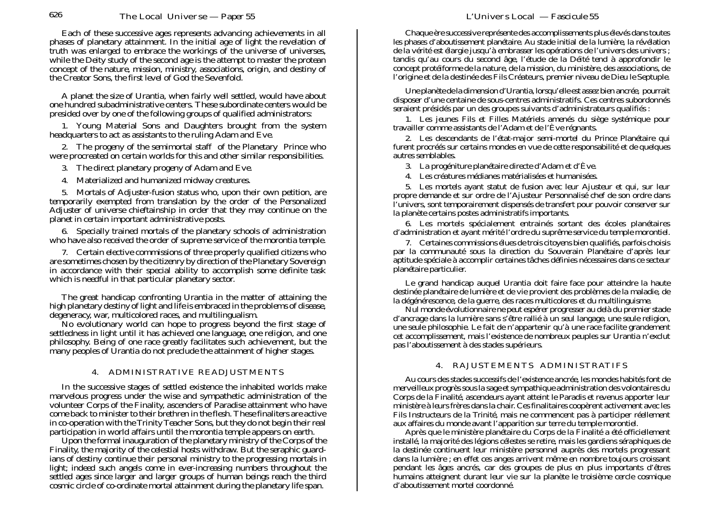Each of these successive ages represents advancing achievements in all phases of planetary attainment. In the initial age of light the revelation of truth was enlarged to embrace the workings of the universe of universes, while the Deity study of the second age is the attempt to master the protean concept of the nature, mission, ministry, associations, origin, and destiny of the Creator Sons, the first level of God the Sevenfold.

A planet the size of Urantia, when fairly well settled, would have about one hundred subadministrative centers. These subordinate centers would be presided over by one of the following groups of qualified administrators:

1. Young Material Sons and Daughters brought from the system headquarters to act as assistants to the ruling Adam and Eve.

2. The progeny of the semimortal staff of the Planetary Prince who were procreated on certain worlds for this and other similar responsibilities.

3. The direct planetary progeny of Adam and Eve.

4. Materialized and humanized midway creatures.

5. Mortals of Adjuster-fusion status who, upon their own petition, are temporarily exempted from translation by the order of the Personalized Adjuster of universe chieftainship in order that they may continue on the planet in certain important administrative posts.

6. Specially trained mortals of the planetary schools of administration who have also received the order of supreme service of the morontia temple.

7. Certain elective commissions of three properly qualified citizens who are sometimes chosen by the citizenry by direction of the Planetary Sovereign in accordance with their special ability to accomplish some definite task which is needful in that particular planetary sector.

The great handicap confronting Urantia in the matter of attaining the high planetary destiny of light and life is embraced in the problems of disease, degeneracy, war, multicolored races, and multilingualism.

No evolutionary world can hope to progress beyond the first stage of settledness in light until it has achieved one language, one religion, and one philosophy. Being of one race greatly facilitates such achievement, but the many peoples of Urantia do not preclude the attainment of higher stages.

## 4. ADMINISTRATIVE READJUSTMENTS

In the successive stages of settled existence the inhabited worlds make marvelous progress under the wise and sympathetic administration of the volunteer Corps of the Finality, ascenders of Paradise attainment who have come back to minister to their brethren in the flesh. These finaliters are active in co-operation with the Trinity Teacher Sons, but they do not begin their real participation in world affairs until the morontia temple appears on earth.

Upon the formal inauguration of the planetary ministry of the Corps of the Finality, the majority of the celestial hosts withdraw. But the seraphic guardians of destiny continue their personal ministry to the progressing mortals in light; indeed such angels come in ever-increasing numbers throughout the settled ages since larger and larger groups of human beings reach the third cosmic circle of co-ordinate mortal attainment during the planetary life span.

Chaque ère successive représente des accomplissements plus élevés dans toutes les phases d'aboutissement planétaire. Au stade initial de la lumière, la révélation de la vérité est élargie jusqu'à embrasser les opérations de l'univers des univers ; tandis qu'au cours du second âge, l'étude de la Déité tend à approfondir le concept protéiforme de la nature, de la mission, du ministère, des associations, de l'origine et de la destinée des Fils Créateurs, premier niveau de Dieu le Septuple.

Une planète de la dimension d'Urantia, lorsqu'elle est assez bien ancrée, pourrait disposer d'une centaine de sous-centres administratifs. Ces centres subordonnés seraient présidés par un des groupes suivants d'administrateurs qualifiés :

1. Les jeunes Fils et Filles Matériels amenés du siège systémique pour travailler comme assistants de l'Adam et de l'Ève régnants.

2. Les descendants de l'état-major semi-mortel du Prince Planétaire qui furent procréés sur certains mondes en vue de cette responsabilité et de quelques autres semblables.

3. La progéniture planétaire directe d'Adam et d'Ève.

4. Les créatures médianes matérialisées et humanisées.

5. Les mortels ayant statut de fusion avec leur Ajusteur et qui, sur leur propre demande et sur ordre de l'Ajusteur Personnalisé chef de son ordre dans l'univers, sont temporairement dispensés de transfert pour pouvoir conserver sur la planète certains postes administratifs importants.

6. Les mortels spécialement entrainés sortant des écoles planétaires d'administration et ayant mérité l'ordre du suprême service du temple morontiel.

7. Certaines commissions élues de trois citoyens bien qualifiés, parfois choisis par la communauté sous la direction du Souverain Planétaire d'après leur aptitude spéciale à accomplir certaines tâches définies nécessaires dans ce secteur planétaire particulier.

Le grand handicap auquel Urantia doit faire face pour atteindre la haute destinée planétaire de lumière et de vie provient des problèmes de la maladie, de la dégénérescence, de la guerre, des races multicolores et du multilinguisme.

Nul monde évolutionnaire ne peut espérer progresser au delà du premier stade d'ancrage dans la lumière sans s'être rallié à un seul langage, une seule religion, une seule philosophie. Le fait de n'appartenir qu'à une race facilite grandement cet accomplissement, mais l'existence de nombreux peuples sur Urantia n'exclut pas l'aboutissement à des stades supérieurs.

## 4. RAJUSTEMENTS ADMINISTRATIFS

Au cours des stades successifs de l'existence ancrée, les mondes habités font de merveilleux progrès sous la sage et sympathique administration des volontaires du Corps de la Finalité, ascendeurs ayant atteint le Paradis et revenus apporter leur ministère à leurs frères dans la chair. Ces finalitaires coopèrent activement avec les Fils Instructeurs de la Trinité, mais ne commencent pas à participer réellement aux affaires du monde avant l'apparition sur terre du temple morontiel.

Après que le ministère planétaire du Corps de la Finalité a été officiellement installé, la majorité des légions célestes se retire, mais les gardiens séraphiques de la destinée continuent leur ministère personnel auprès des mortels progressant dans la lumière ; en effet ces anges arrivent même en nombre toujours croissant pendant les âges ancrés, car des groupes de plus en plus importants d'êtres humains atteignent durant leur vie sur la planète le troisième cercle cosmique d'aboutissement mortel coordonné.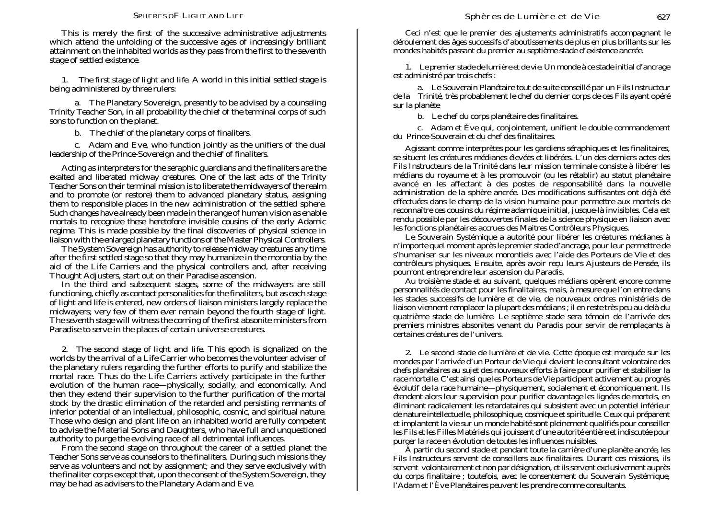This is merely the first of the successive administrative adjustments which attend the unfolding of the successive ages of increasingly brilliant attainment on the inhabited worlds as they pass from the first to the seventh stage of settled existence.

1. *The first stage of light and life.* A world in this initial settled stage is being administered by three rulers:

a. The Planetary Sovereign, presently to be advised by a counseling Trinity Teacher Son, in all probability the chief of the terminal corps of such sons to function on the planet.

b. The chief of the planetary corps of finaliters.

c. Adam and Eve, who function jointly as the unifiers of the dual leadership of the Prince-Sovereign and the chief of finaliters.

Acting as interpreters for the seraphic guardians and the finaliters are the exalted and liberated midway creatures. One of the last acts of the Trinity Teacher Sons on their terminal mission is to liberate the midwayers of the realm and to promote (or restore) them to advanced planetary status, assigning them to responsible places in the new administration of the settled sphere. Such changes have already been made in the range of human vision as enable mortals to recognize these heretofore invisible cousins of the early Adamic regime. This is made possible by the final discoveries of physical science in liaison with the enlarged planetary functions of the Master Physical Controllers.

The System Sovereign has authority to release midway creatures any time after the first settled stage so that they may humanize in the morontia by the aid of the Life Carriers and the physical controllers and, after receiving Thought Adjusters, start out on their Paradise ascension.

In the third and subsequent stages, some of the midwayers are still functioning, chiefly as contact personalities for the finaliters, but as each stage of light and life is entered, new orders of liaison ministers largely replace the midwayers; very few of them ever remain beyond the fourth stage of light. The seventh stage will witness the coming of the first absonite ministers from Paradise to serve in the places of certain universe creatures.

2. *The second stage of light and life.* This epoch is signalized on the worlds by the arrival of a Life Carrier who becomes the volunteer adviser of the planetary rulers regarding the further efforts to purify and stabilize the mortal race. Thus do the Life Carriers actively participate in the further evolution of the human race—physically, socially, and economically. And then they extend their supervision to the further purification of the mortal stock by the drastic elimination of the retarded and persisting remnants of inferior potential of an intellectual, philosophic, cosmic, and spiritual nature. Those who design and plant life on an inhabited world are fully competent to advise the Material Sons and Daughters, who have full and unquestioned authority to purge the evolving race of all detrimental influences.

From the second stage on throughout the career of a settled planet the Teacher Sons serve as counselors to the finaliters. During such missions they serve as volunteers and not by assignment; and they serve exclusively with the finaliter corps except that, upon the consent of the System Sovereign, they may be had as advisers to the Planetary Adam and Eve.

Ceci n'est que le premier des ajustements administratifs accompagnant le déroulement des âges successifs d'aboutissements de plus en plus brillants sur les mondes habités passant du premier au septième stade d'existence ancrée.

1. *Le premier stade de lumière et de vie.* Un monde à ce stade initial d'ancrage est administré par trois chefs :

a. Le Souverain Planétaire tout de suite conseillé par un Fils Instructeur de la Trinité, très probablement le chef du dernier corps de ces Fils ayant opéré sur la planète

b. Le chef du corps planétaire des finalitaires.

c. Adam et Ève qui, conjointement, unifient le double commandement du Prince-Souverain et du chef des finalitaires.

Agissant comme interprètes pour les gardiens séraphiques et les finalitaires, se situent les créatures médianes élevées et libérées. L'un des derniers actes des Fils Instructeurs de la Trinité dans leur mission terminale consiste à libérer les médians du royaume et à les promouvoir (ou les rétablir) au statut planétaire avancé en les affectant à des postes de responsabilité dans la nouvelle administration de la sphère ancrée. Des modifications suffisantes ont déjà été effectuées dans le champ de la vision humaine pour permettre aux mortels de reconnaître ces cousins du régime adamique initial, jusque-là invisibles. Cela est rendu possible par les découvertes finales de la science physique en liaison avec les fonctions planétaires accrues des Maitres Contrôleurs Physiques.

Le Souverain Systémique a autorité pour libérer les créatures médianes à n'importe quel moment après le premier stade d'ancrage, pour leur permettre de s'humaniser sur les niveaux morontiels avec l'aide des Porteurs de Vie et des contrôleurs physiques. Ensuite, après avoir reçu leurs Ajusteurs de Pensée, ils pourront entreprendre leur ascension du Paradis.

Au troisième stade et au suivant, quelques médians opèrent encore comme personnalités de contact pour les finalitaires, mais, à mesure que l'on entre dans les stades successifs de lumière et de vie, de nouveaux ordres ministériels de liaison viennent remplacer la plupart des médians ; il en reste très peu au delà du quatrième stade de lumière. Le septième stade sera témoin de l'arrivée des premiers ministres absonites venant du Paradis pour servir de remplaçants à certaines créatures de l'univers.

2. *Le second stade de lumière et de vie*. Cette époque est marquée sur les mondes par l'arrivée d'un Porteur de Vie qui devient le consultant volontaire des chefs planétaires au sujet des nouveaux efforts à faire pour purifier et stabiliser la race mortelle. C'est ainsi que les Porteurs de Vie participent activement au progrès évolutif de la race humaine—physiquement, socialement et économiquement. Ils étendent alors leur supervision pour purifier davantage les lignées de mortels, en éliminant radicalement les retardataires qui subsistent avec un potentiel inférieur de nature intellectuelle, philosophique, cosmique et spirituelle. Ceux qui préparent et implantent la vie sur un monde habité sont pleinement qualifiés pour conseiller les Fils et les Filles Matériels qui jouissent d'une autorité entière et indiscutée pour

A partir du second stade et pendant toute la carrière d'une planète ancrée, les Fils Instructeurs servent de conseillers aux finalitaires. Durant ces missions, ils servent volontairement et non par désignation, et ils servent exclusivement auprès du corps finalitaire ; toutefois, avec le consentement du Souverain Systémique, l'Adam et l'Ève Planétaires peuvent les prendre comme consultants.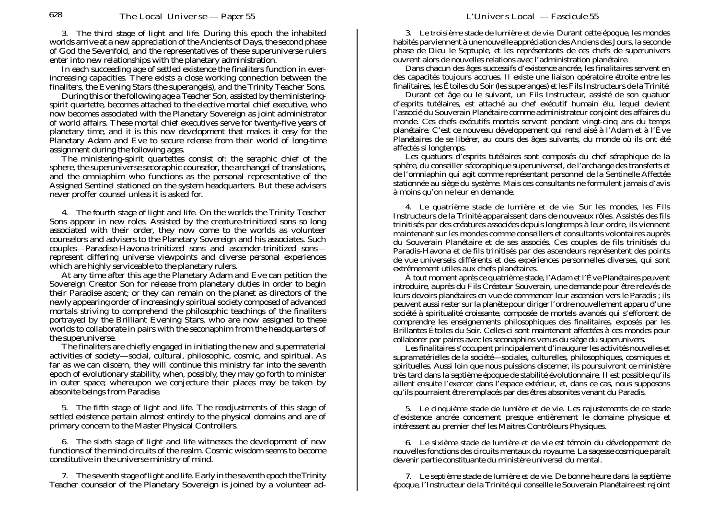3. *The third stage of light and life.* During this epoch the inhabited worlds arrive at a new appreciation of the Ancients of Days, the second phase of God the Sevenfold, and the representatives of these superuniverse rulers enter into new relationships with the planetary administration.

In each succeeding age of settled existence the finaliters function in ever-<br>increasing capacities. There exists a close working connection between the finaliters, the Evening Stars (the superangels), and the Trinity Teacher Sons.

During this or the following age a Teacher Son, assisted by the ministeringspirit quartette, becomes attached to the elective mortal chief executive, who now becomes associated with the Planetary Sovereign as joint administrator of world affairs. These mortal chief executives serve for twenty-five years of planetary time, and it is this new development that makes it easy for the Planetary Adam and Eve to secure release from their world of long-time assignment during the following ages.

The ministering-spirit quartettes consist of: the seraphic chief of the sphere, the superuniverse secoraphic counselor, the archangel of translations, and the omniaphim who functions as the personal representative of the Assigned Sentinel stationed on the system headquarters. But these advisers never proffer counsel unless it is asked for.

4. *The fourth stage of light and life.* On the worlds the Trinity Teacher Sons appear in new roles. Assisted by the creature-trinitized sons so long associated with their order, they now come to the worlds as volunteer counselors and advisers to the Planetary Sovereign and his associates. Such couples—Paradise-Havona-trinitized sons and ascender-trinitized sons represent differing universe viewpoints and diverse personal experiences which are highly serviceable to the planetary rulers.

At any time after this age the Planetary Adam and Eve can petition the Sovereign Creator Son for release from planetary duties in order to begin their Paradise ascent; or they can remain on the planet as directors of the newly appearing order of increasingly spiritual society composed of advanced mortals striving to comprehend the philosophic teachings of the finaliters portrayed by the Brilliant Evening Stars, who are now assigned to these worlds to collaborate in pairs with the seconaphim from the headquarters of the superuniverse.

The finaliters are chiefly engaged in initiating the new and supermaterial activities of society—social, cultural, philosophic, cosmic, and spiritual. As far as we can discern, they will continue this ministry far into the seventh epoch of evolutionary stability, when, possibly, they may go forth to minister in outer space; whereupon we conjecture their places may be taken by absonite beings from Paradise.

5. *The fifth stage of light and life.* The readjustments of this stage of settled existence pertain almost entirely to the physical domains and are of primary concern to the Master Physical Controllers.

6. *The sixth stage of light and life* witnesses the development of new functions of the mind circuits of the realm. Cosmic wisdom seems to become constitutive in the universe ministry of mind.

7. *The seventh stage of light and life.* Early in the seventh epoch the Trinity Teacher counselor of the Planetary Sovereign is joined by a volunteer ad-

3. *Le troisième stade de lumière et de vie*. Durant cette époque, les mondes habités parviennent à une nouvelle appréciation des Anciens des Jours, la seconde phase de Dieu le Septuple, et les représentants de ces chefs de superunivers ouvrent alors de nouvelles relations avec l'administration planétaire.

Dans chacun des âges successifs d'existence ancrée, les finalitaires servent en des capacités toujours accrues. Il existe une liaison opératoire étroite entre les finalitaires, les Étoiles du Soir (les superanges) et les Fils Instructeurs de la Trinité.

Durant cet âge ou le suivant, un Fils Instructeur, assisté de son quatuor d'esprits tutélaires, est attaché au chef exécutif humain élu, lequel devient l'associé du Souverain Planétaire comme administrateur conjoint des affaires du monde. Ces chefs exécutifs mortels servent pendant vingt-cinq ans du temps planétaire. C'est ce nouveau développement qui rend aisé à l'Adam et à l'Ève Planétaires de se libérer, au cours des âges suivants, du monde où ils ont été affectés si longtemps.

Les quatuors d'esprits tutélaires sont composés du chef séraphique de la sphère, du conseiller sécoraphique superuniversel, de l'archange des transferts et de l'omniaphin qui agit comme représentant personnel de la Sentinelle Affectée stationnée au siège du système. Mais ces consultants ne formulent jamais d'avis à moins qu'on ne leur en demande.

4. *Le quatrième stade de lumière et de vie*. Sur les mondes, les Fils Instructeurs de la Trinité apparaissent dans de nouveaux rôles. Assistés des fils trinitisés par des créatures associées depuis longtemps à leur ordre, ils viennent maintenant sur les mondes comme conseillers et consultants volontaires auprès du Souverain Planétaire et de ses associés. Ces couples de fils trinitisés du Paradis-Havona et de fils trinitisés par des ascendeurs représentent des points de vue universels différents et des expériences personnelles diverses, qui sont

extrêmement utiles aux chefs planétaires. À tout moment après ce quatrième stade, l'Adam et l'Ève Planétaires peuvent introduire, auprès du Fils Créateur Souverain, une demande pour être relevés de leurs devoirs planétaires en vue de commencer leur ascension vers le Paradis ; ils peuvent aussi rester sur la planète pour diriger l'ordre nouvellement apparu d'une société à spiritualité croissante, composée de mortels avancés qui s'efforcent de comprendre les enseignements philosophiques des finalitaires, exposés par les Brillantes Étoiles du Soir. Celles-ci sont maintenant affectées à ces mondes pour collaborer par paires avec les seconaphins venus du siège du superunivers.

Les finalitaires s'occupent principalement d'inaugurer les activités nouvelles et supramatérielles de la société—sociales, culturelles, philosophiques, cosmiques et spirituelles. Aussi loin que nous puissions discerner, ils poursuivront ce ministère très tard dans la septième époque de stabilité évolutionnaire. Il est possible qu'ils aillent ensuite l'exercer dans l'espace extérieur, et, dans ce cas, nous supposons qu'ils pourraient être remplacés par des êtres absonites venant du Paradis.

5. *Le cinquième stade de lumière et de vie*. Les rajustements de ce stade d'existence ancrée concernent presque entièrement le domaine physique et intéressent au premier chef les Maitres Contrôleurs Physiques.

6. *Le sixième stade de lumière et de vie* est témoin du développement de nouvelles fonctions des circuits mentaux du royaume. La sagesse cosmique paraît devenir partie constituante du ministère universel du mental.

7. *Le septième stade de lumière et de vie.* De bonne heure dans la septième époque, l'Instructeur de la Trinité qui conseille le Souverain Planétaire est rejoint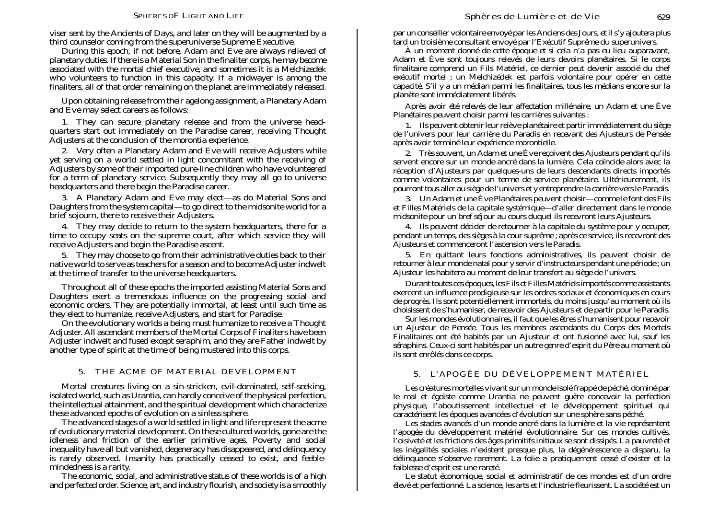viser sent by the Ancients of Days, and later on they will be augmented by a third counselor coming from the superuniverse Supreme Executive.

During this epoch, if not before, Adam and Eve are always relieved of planetary duties. If there is a Material Son in the finaliter corps, he may become associated with the mortal chief executive, and sometimes it is a Melchizedek who volunteers to function in this capacity. If a midwayer is among the finaliters, all of that order remaining on the planet are immediately released.

Upon obtaining release from their agelong assignment, a Planetary Adam and Eve may select careers as follows:

1. They can secure planetary release and from the universe headquarters start out immediately on the Paradise career, receiving Thought Adjusters at the conclusion of the morontia experience.

2. Very often a Planetary Adam and Eve will receive Adjusters while yet serving on a world settled in light concomitant with the receiving of Adjusters by some of their imported pure-line children who have volunteered for a term of planetary service. Subsequently they may all go to universe headquarters and there begin the Paradise career.

3. A Planetary Adam and Eve may elect—as do Material Sons and Daughters from the system capital—to go direct to the midsonite world for a brief sojourn, there to receive their Adjusters.

4. They may decide to return to the system headquarters, there for a time to occupy seats on the supreme court, after which service they will receive Adjusters and begin the Paradise ascent.

5. They may choose to go from their administrative duties back to their native world to serve as teachers for a season and to become Adjuster indwelt at the time of transfer to the universe headquarters.

Throughout all of these epochs the imported assisting Material Sons and Daughters exert a tremendous influence on the progressing social and economic orders. They are potentially immortal, at least until such time as they elect to humanize, receive Adjusters, and start for Paradise.

On the evolutionary worlds a being must humanize to receive a Thought Adjuster. All ascendant members of the Mortal Corps of Finaliters have been Adjuster indwelt and fused except seraphim, and they are Father indwelt by another type of spirit at the time of being mustered into this corps.

## 5. THE ACME OF MATERIAL DEVELOPMENT

Mortal creatures living on a sin-stricken, evil-dominated, self-seeking, isolated world, such as Urantia, can hardly conceive of the physical perfection, the intellectual attainment, and the spiritual development which characterize these advanced epochs of evolution on a sinless sphere.

The advanced stages of a world settled in light and life represent the acme of evolutionary material development. On these cultured worlds, gone are the idleness and friction of the earlier primitive ages. Poverty and social inequality have all but vanished, degeneracy has disappeared, and delinquency is rarely observed. Insanity has practically ceased to exist, and feeblemindedness is a rarity.

The economic, social, and administrative status of these worlds is of a high and perfected order. Science, art, and industry flourish, and society is a smoothly par un conseiller volontaire envoyé par les Anciens des Jours, et il s'y ajoutera plus

À un moment donné de cette époque et si cela n'a pas eu lieu auparavant, Adam et Ève sont toujours relevés de leurs devoirs planétaires. Si le corps finalitaire comprend un Fils Matériel, ce dernier peut devenir associé du chef exécutif mortel ; un Melchizédek est parfois volontaire pour opérer en cette capacité. S'il y a un médian parmi les finalitaires, tous les médians encore sur la planète sont immédiatement libérés.

Après avoir été relevés de leur affectation millénaire, un Adam et une Ève Planétaires peuvent choisir parmi les carrières suivantes :

1. Ils peuvent obtenir leur relève planétaire et partir immédiatement du siège de l'univers pour leur carrière du Paradis en recevant des Ajusteurs de Pensée après avoir terminé leur expérience morontielle.

<sup>2</sup>. Très souvent, un Adam et une Ève reçoivent des Ajusteurs pendant qu'ils servent encore sur un monde ancré dans la lumière. Cela coïncide alors avec la réception d'Ajusteurs par quelques-uns de leurs descendants directs importés comme volontaires pour un terme de service planétaire. Ultérieurement, ils pourront tous aller au siège de l'univers et y entreprendre la carrière vers le Paradis.

3. Un Adam et une Ève Planétaires peuvent choisir—comme le font des Fils et Filles Matériels de la capitale systémique—d'aller directement dans le monde midsonite pour un bref séjour au cours duquel ils recevront leurs Ajusteurs.

4. Ils peuvent décider de retourner à la capitale du système pour y occuper, pendant un temps, des sièges à la cour suprême ; après ce service, ils recevront des Ajusteurs et commenceront l'ascension vers le Paradis.

5. En quittant leurs fonctions administratives, ils peuvent choisir de retourner à leur monde natal pour y servir d'instructeurs pendant une période ; un Ajusteur les habitera au moment de leur transfert au siège de l'univers.

Durant toutes ces époques, les Fils et Filles Matériels importés comme assistants exercent un influence prodigieuse sur les ordres sociaux et économiques en cours de progrès. Ils sont potentiellement immortels, du moins jusqu'au moment où ils choisissent de s'humaniser, de recevoir des Ajusteurs et de partir pour le Paradis.

Sur les mondes évolutionnaires, il faut que les êtres s'humanisent pour recevoir un Ajusteur de Pensée. Tous les membres ascendants du Corps des Mortels Finalitaires ont été habités par un Ajusteur et ont fusionné avec lui, sauf les séraphins. Ceux-ci sont habités par un autre genre d'esprit du Père au moment où ils sont enrôlés dans ce corps.

## 5. L'APOGÉE DU DÉVELOPPEMENT MATÉRIEL

Les créatures mortelles vivant sur un monde isolé frappé de péché, dominé par le mal et égoïste comme Urantia ne peuvent guère concevoir la perfection physique, l'aboutissement intellectuel et le développement spirituel qui caractérisent les époques avancées d'évolution sur une sphère sans péché.

Les stades avancés d'un monde ancré dans la lumière et la vie représentent l'apogée du développement matériel évolutionnaire. Sur ces mondes cultivés, l'oisiveté et les frictions des âges primitifs initiaux se sont dissipés. La pauvreté et les inégalités sociales n'existent presque plus, la dégénérescence a disparu, la délinquance s'observe rarement. La folie a pratiquement cessé d'exister et la faiblesse d'esprit est une rareté.

Le statut économique, social et administratif de ces mondes est d'un ordre élevé et perfectionné. La science, les arts et l'industrie fleurissent. La société est un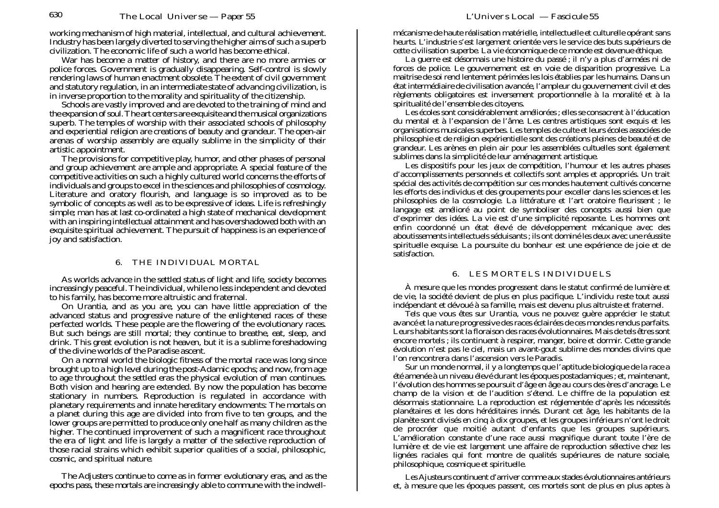working mechanism of high material, intellectual, and cultural achievement. Industry has been largely diverted to serving the higher aims of such a superb civilization. The economic life of such a world has become ethical.

War has become a matter of history, and there are no more armies or police forces. Government is gradually disappearing. Self-control is slowly rendering laws of human enactment obsolete. The extent of civil government and statutory regulation, in an intermediate state of advancing civilization, is in inverse proportion to the morality and spirituality of the citizenship.

Schools are vastly improved and are devoted to the training of mind and the expansion of soul. The art centers are exquisite and the musical organizations superb. The temples of worship with their associated schools of philosophy and experiential religion are creations of beauty and grandeur. The open-air arenas of worship assembly are equally sublime in the simplicity of their artistic appointment.

The provisions for competitive play, humor, and other phases of personal and group achievement are ample and appropriate. A special feature of the competitive activities on such a highly cultured world concerns the efforts of individuals and groups to excel in the sciences and philosophies of cosmology. Literature and oratory flourish, and language is so improved as to be symbolic of concepts as well as to be expressive of ideas. Life is refreshingly simple; man has at last co-ordinated a high state of mechanical development with an inspiring intellectual attainment and has overshadowed both with an exquisite spiritual achievement. The pursuit of happiness is an experience of joy and satisfaction.

## 6. THE INDIVIDUAL MORTAL

As worlds advance in the settled status of light and life, society becomes increasingly peaceful. The individual, while no less independent and devoted to his family, has become more altruistic and fraternal.

On Urantia, and as you are, you can have little appreciation of the advanced status and progressive nature of the enlightened races of these perfected worlds. These people are the flowering of the evolutionary races. But such beings are still mortal; they continue to breathe, eat, sleep, and drink. This great evolution is not heaven, but it is a sublime foreshadowing of the divine worlds of the Paradise ascent.

On a normal world the biologic fitness of the mortal race was long since brought up to a high level during the post-Adamic epochs; and now, from age to age throughout the settled eras the physical evolution of man continues. Both vision and hearing are extended. By now the population has become stationary in numbers. Reproduction is regulated in accordance with planetary requirements and innate hereditary endowments: The mortals on a planet during this age are divided into from five to ten groups, and the lower groups are permitted to produce only one half as many children as the higher. The continued improvement of such a magnificent race throughout the era of light and life is largely a matter of the selective reproduction of those racial strains which exhibit superior qualities of a social, philosophic, cosmic, and spiritual nature.

The Adjusters continue to come as in former evolutionary eras, and as the epochs pass, these mortals are increasingly able to commune with the indwellmécanisme de haute réalisation matérielle, intellectuelle et culturelle opérant sans heurts. L'industrie s'est largement orientée vers le service des buts supérieurs de cette civilisation superbe. La vie économique de ce monde est devenue éthique.

La guerre est désormais une histoire du passé ; il n'y a plus d'armées ni de forces de police. Le gouvernement est en voie de disparition progressive. La maitrise de soi rend lentement périmées les lois établies par les humains. Dans un état intermédiaire de civilisation avancée, l'ampleur du gouvernement civil et des règlements obligatoires est inversement proportionnelle à la moralité et à la spiritualité de l'ensemble des citoyens.

Les écoles sont considérablement améliorées ; elles se consacrent à l'éducation du mental et à l'expansion de l'âme. Les centres artistiques sont exquis et les organisations musicales superbes. Les temples de culte et leurs écoles associées de philosophie et de religion expérientielle sont des créations pleines de beauté et de grandeur. Les arènes en plein air pour les assemblées cultuelles sont également sublimes dans la simplicité de leur aménagement artistique.

Les dispositifs pour les jeux de compétition, l'humour et les autres phases d'accomplissements personnels et collectifs sont amples et appropriés. Un trait spécial des activités de compétition sur ces mondes hautement cultivés concerne les efforts des individus et des groupements pour exceller dans les sciences et les philosophies de la cosmologie. La littérature et l'art oratoire fleurissent ; le langage est amélioré au point de symboliser des concepts aussi bien que d'exprimer des idées. La vie est d'une simplicité reposante. Les hommes ont enfin coordonné un état élevé de développement mécanique avec des aboutissements intellectuels séduisants ; ils ont dominé les deux avec une réussite spirituelle exquise. La poursuite du bonheur est une expérience de joie et de satisfaction.

## 6. LES MORTELS INDIVIDUELS

À mesure que les mondes progressent dans le statut confirmé de lumière et de vie, la société devient de plus en plus pacifique. L'individu reste tout aussi indépendant et dévoué à sa famille, mais est devenu plus altruiste et fraternel.

Tels que vous êtes sur Urantia, vous ne pouvez guère apprécier le statut avancé et la nature progressive des races éclairées de ces mondes rendus parfaits. Leurs habitants sont la floraison des races évolutionnaires. Mais de tels êtres sont encore mortels ; ils continuent à respirer, manger, boire et dormir. Cette grande évolution n'est pas le ciel, mais un avant-gout sublime des mondes divins que l'on rencontrera dans l'ascension vers le Paradis.

Sur un monde normal, il y a longtemps que l'aptitude biologique de la race a été amenée à un niveau élevé durant les époques postadamiques ; et, maintenant, l'évolution des hommes se poursuit d'âge en âge au cours des ères d'ancrage. Le champ de la vision et de l'audition s'étend. Le chiffre de la population est désormais stationnaire. La reproduction est réglementée d'après les nécessités planétaires et les dons héréditaires innés. Durant cet âge, les habitants de la planète sont divisés en cinq à dix groupes, et les groupes inférieurs n'ont le droit de procréer que moitié autant d'enfants que les groupes supérieurs. L'amélioration constante d'une race aussi magnifique durant toute l'ère de lumière et de vie est largement une affaire de reproduction sélective chez les lignées raciales qui font montre de qualités supérieures de nature sociale, philosophique, cosmique et spirituelle.

Les Ajusteurs continuent d'arriver comme aux stades évolutionnaires antérieurs et, à mesure que les époques passent, ces mortels sont de plus en plus aptes à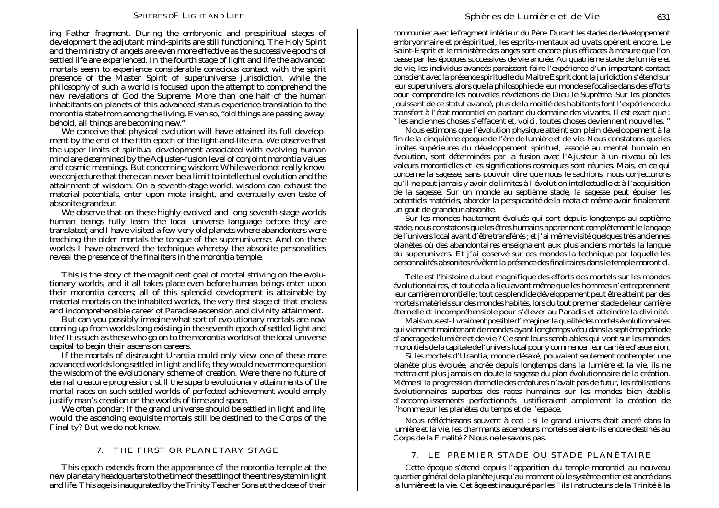ing Father fragment. During the embryonic and prespiritual stages of development the adjutant mind-spirits are still functioning. The Holy Spirit and the ministry of angels are even more effective as the successive epochs of settled life are experienced. In the fourth stage of light and life the advanced mortals seem to experience considerable conscious contact with the spirit presence of the Master Spirit of superuniverse jurisdiction, while the philosophy of such a world is focused upon the attempt to comprehend the new revelations of God the Supreme. More than one half of the human inhabitants on planets of this advanced status experience translation to the morontia state from among the living. Even so, "old things are passing away; behold, all things are becoming new.

We conceive that physical evolution will have attained its full development by the end of the fifth epoch of the light-and-life era. We observe that the upper limits of spiritual development associated with evolving human mind are determined by the Adjuster-fusion level of conjoint morontia values and cosmic meanings. But concerning wisdom: While we do not really know, we conjecture that there can never be a limit to intellectual evolution and the attainment of wisdom. On a seventh-stage world, wisdom can exhaust the material potentials, enter upon mota insight, and eventually even taste of absonite grandeur.

We observe that on these highly evolved and long seventh-stage worlds human beings fully learn the local universe language before they are translated; and I have visited a few very old planets where abandonters were teaching the older mortals the tongue of the superuniverse. And on these worlds I have observed the technique whereby the absonite personalities reveal the presence of the finaliters in the morontia temple.

This is the story of the magnificent goal of mortal striving on the evolutionary worlds; and it all takes place even before human beings enter upon their morontia careers; all of this splendid development is attainable by material mortals on the inhabited worlds, the very first stage of that endless and incomprehensible career of Paradise ascension and divinity attainment.

But can you possibly imagine what sort of evolutionary mortals are now coming up from worlds long existing in the seventh epoch of settled light and life? It is such as these who go on to the morontia worlds of the local universe capital to begin their ascension careers.

If the mortals of distraught Urantia could only view one of these more advanced worlds long settled in light and life, they would nevermore question the wisdom of the evolutionary scheme of creation. Were there no future of eternal creature progression, still the superb evolutionary attainments of the mortal races on such settled worlds of perfected achievement would amply justify man's creation on the worlds of time and space.

We often ponder: If the grand universe should be settled in light and life, would the ascending exquisite mortals still be destined to the Corps of the Finality? But we do not know.

## 7. THE FIRST OR PLANETARY STAGE

This epoch extends from the appearance of the morontia temple at the new planetary headquarters to the time of the settling of the entire system in light and life. This age is inaugurated by the Trinity Teacher Sons at the close of their communier avec le fragment intérieur du Père. Durant les stades de développement embryonnaire et préspirituel, les esprits-mentaux adjuvats opèrent encore. Le Saint-Esprit et le ministère des anges sont encore plus efficaces à mesure que l'on passe par les époques successives de vie ancrée. Au quatrième stade de lumière et de vie, les individus avancés paraissent faire l'expérience d'un important contact conscient avec la présence spirituelle du Maitre Esprit dont la juridiction s'étend sur leur superunivers, alors que la philosophie de leur monde se focalise dans des efforts pour comprendre les nouvelles révélations de Dieu le Suprême. Sur les planètes jouissant de ce statut avancé, plus de la moitié des habitants font l'expérience du transfert à l'état morontiel en partant du domaine des vivants. Il est exact que : " les anciennes choses s'effacent et, voici, toutes choses deviennent nouvelles. "

Nous estimons que l'évolution physique atteint son plein développement à la fin de la cinquième époque de l'ère de lumière et de vie. Nous constatons que les limites supérieures du développement spirituel, associé au mental humain en évolution, sont déterminées par la fusion avec l'Ajusteur à un niveau où les valeurs morontielles et les significations cosmiques sont réunies. Mais, en ce qui concerne la sagesse, sans pouvoir dire que nous le sachions, nous conjecturons qu'il ne peut jamais y avoir de limites à l'évolution intellectuelle et à l'acquisition de la sagesse. Sur un monde au septième stade, la sagesse peut épuiser les potentiels matériels, aborder la perspicacité de la mota et même avoir finalement un gout de grandeur absonite.

Sur les mondes hautement évolués qui sont depuis longtemps au septième stade, nous constatons que les êtres humains apprennent complètement le langage de l'univers local avant d'être transférés ; et j'ai même visité quelques très anciennes planètes où des abandontaires enseignaient aux plus anciens mortels la langue du superunivers. Et j'ai observé sur ces mondes la technique par laquelle les personnalités absonites révèlent la présence des finalitaires dans le temple morontiel.

Telle est l'histoire du but magnifique des efforts des mortels sur les mondes évolutionnaires, et tout cela a lieu avant même que les hommes n'entreprennent leur carrière morontielle ; tout ce splendide développement peut être atteint par des mortels matériels sur des mondes habités, lors du tout premier stade de leur carrière éternelle et incompréhensible pour s'élever au Paradis et atteindre la divinité.

Mais vous est-il vraiment possible d'imaginer la qualité des mortels évolutionnaires qui viennent maintenant de mondes ayant longtemps vécu dans la septième période d'ancrage de lumière et de vie ? Ce sont leurs semblables qui vont sur les mondes morontiels de la capitale de l'univers local pour y commencer leur carrière d'ascension.

Si les mortels d'Urantia, monde désaxé, pouvaient seulement contempler une planète plus évoluée, ancrée depuis longtemps dans la lumière et la vie, ils ne mettraient plus jamais en doute la sagesse du plan évolutionnaire de la création. Même si la progression éternelle des créatures n'avait pas de futur, les réalisations évolutionnaires superbes des races humaines sur les mondes bien établis d'accomplissements perfectionnés justifieraient amplement la création de l'homme sur les planètes du temps et de l'espace.

Nous réfléchissons souvent à ceci : si le grand univers était ancré dans la lumière et la vie, les charmants ascendeurs mortels seraient-ils encore destinés au Corps de la Finalité ? Nous ne le savons pas.

#### 7. LE PREMIER STADE OU STADE PLANÉTAIRE

Cette époque s'étend depuis l'apparition du temple morontiel au nouveau quartier général de la planète jusqu'au moment où le système entier est ancré dans la lumière et la vie. Cet âge est inauguré par les Fils Instructeurs de la Trinité à la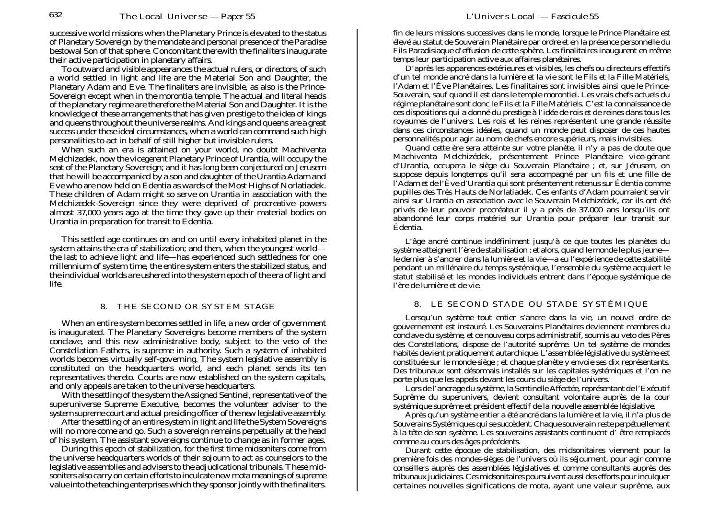successive world missions when the Planetary Prince is elevated to the status of Planetary Sovereign by the mandate and personal presence of the Paradise bestowal Son of that sphere. Concomitant therewith the finaliters inaugurate their active participation in planetary affairs.

To outward and visible appearances the actual rulers, or directors, of such a world settled in light and life are the Material Son and Daughter, the Planetary Adam and Eve. The finaliters are invisible, as also is the Prince-Sovereign except when in the morontia temple. The actual and literal heads of the planetary regime are therefore the Material Son and Daughter. It is the knowledge of these arrangements that has given prestige to the idea of kings and queens throughout the universe realms. And kings and queens are a great success under these ideal circumstances, when a world can command such high personalities to act in behalf of still higher but invisible rulers.

When such an era is attained on your world, no doubt Machiventa Melchizedek, now the vicegerent Planetary Prince of Urantia, will occupy the seat of the Planetary Sovereign; and it has long been conjectured on Jerusem that he will be accompanied by a son and daughter of the Urantia Adam and Eve who are now held on Edentia as wards of the Most Highs of Norlatiadek. These children of Adam might so serve on Urantia in association with the Melchizedek-Sovereign since they were deprived of procreative powers almost 37,000 years ago at the time they gave up their material bodies on Urantia in preparation for transit to Edentia.

This settled age continues on and on until every inhabited planet in the system attains the era of stabilization; and then, when the youngest world the last to achieve light and life—has experienced such settledness for one millennium of system time, the entire system enters the stabilized status, and the individual worlds are ushered into the system epoch of the era of light and life.

## 8. THE SECOND OR SYSTEM STAGE

When an entire system becomes settled in life, a new order of government is inaugurated. The Planetary Sovereigns become members of the system conclave, and this new administrative body, subject to the veto of the Constellation Fathers, is supreme in authority. Such a system of inhabited worlds becomes virtually self-governing. The system legislative assembly is constituted on the headquarters world, and each planet sends its ten representatives thereto. Courts are now established on the system capitals, and only appeals are taken to the universe headquarters.

With the settling of the system the Assigned Sentinel, representative of the superuniverse Supreme Executive, becomes the volunteer adviser to the system supreme court and actual presiding officer of the new legislative assembly.

After the settling of an entire system in light and life the System Sovereigns will no more come and go. Such a sovereign remains perpetually at the head of his system. The assistant sovereigns continue to change as in former ages.

During this epoch of stabilization, for the first time midsoniters come from the universe headquarters worlds of their sojourn to act as counselors to the legislative assemblies and advisers to the adjudicational tribunals. These midsoniters also carry on certain efforts to inculcate new mota meanings of supreme value into the teaching enterprises which they sponsor jointly with the finaliters.

fin de leurs missions successives dans le monde, lorsque le Prince Planétaire est élevé au statut de Souverain Planétaire par ordre et en la présence personnelle du Fils Paradisiaque d'effusion de cette sphère. Les finalitaires inaugurent en même temps leur participation active aux affaires planétaires.

D'après les apparences extérieures et visibles, les chefs ou directeurs effectifs d'un tel monde ancré dans la lumière et la vie sont le Fils et la Fille Matériels, l'Adam et l'Ève Planétaires. Les finalitaires sont invisibles ainsi que le Prince-Souverain, sauf quand il est dans le temple morontiel. Les vrais chefs actuels du régime planétaire sont donc le Fils et la Fille Matériels. C'est la connaissance de ces dispositions qui a donné du prestige à l'idée de rois et de reines dans tous les royaumes de l'univers. Les rois et les reines représentent une grande réussite dans ces circonstances idéales, quand un monde peut disposer de ces hautes personnalités pour agir au nom de chefs encore supérieurs, mais invisibles.

Quand cette ère sera atteinte sur votre planète, il n'y a pas de doute que Machiventa Melchizédek, présentement Prince Planétaire vice-gérant d'Urantia, occupera le siège du Souverain Planétaire ; et, sur Jérusem, on l'Adam et de l'Ève d'Urantia qui sont présentement retenus sur Édentia comme pupilles des Très Hauts de Norlatiadek. Ces enfants d'Adam pourraient servir ainsi sur Urantia en association avec le Souverain Melchizédek, car ils ont été privés de leur pouvoir procréateur il y a près de 37.000 ans lorsqu'ils ont abandonné leur corps matériel sur Urantia pour préparer leur transit sur Édentia.

L'âge ancré continue indéfiniment jusqu'à ce que toutes les planètes du système atteignent l'ère de stabilisation ; et alors, quand le monde le plus jeune le dernier à s'ancrer dans la lumière et la vie—a eu l'expérience de cette stabilité pendant un millénaire du temps systémique, l'ensemble du système acquiert le statut stabilisé et les mondes individuels entrent dans l'époque systémique de l'ère de lumière et de vie.

## 8. LE SECOND STADE OU STADE SYSTÉMIQUE

Lorsqu'un système tout entier s'ancre dans la vie, un nouvel ordre de gouvernement est instauré. Les Souverains Planétaires deviennent membres du conclave du système, et ce nouveau corps administratif, soumis au veto des Pères des Constellations, dispose de l'autorité suprême. Un tel système de mondes habités devient pratiquement autarchique. L'assemblée législative du système est constituée sur le monde-siège ; et chaque planète y envoie ses dix représentants. Des tribunaux sont désormais installés sur les capitales systémiques et l'on ne porte plus que les appels devant les cours du siège de l'univers.

Lors de l'ancrage du système, la Sentinelle Affectée, représentant de l'Exécutif Suprême du superunivers, devient consultant volontaire auprès de la cour systémique suprême et président effectif de la nouvelle assemblée législative.

Après qu'un système entier a été ancré dans la lumière et la vie, il n'a plus de Souverains Systémiques qui se succèdent. Chaque souverain reste perpétuellement à la tête de son système. Les souverains assistants continuent d' être remplacés comme au cours des âges précédents.

Durant cette époque de stabilisation, des midsonitaires viennent pour la première fois des mondes-sièges de l'univers où ils séjournent, pour agir comme conseillers auprès des assemblées législatives et comme consultants auprès des tribunaux judiciaires. Ces midsonitaires poursuivent aussi des efforts pour inculquer certaines nouvelles significations de mota, ayant une valeur suprême, aux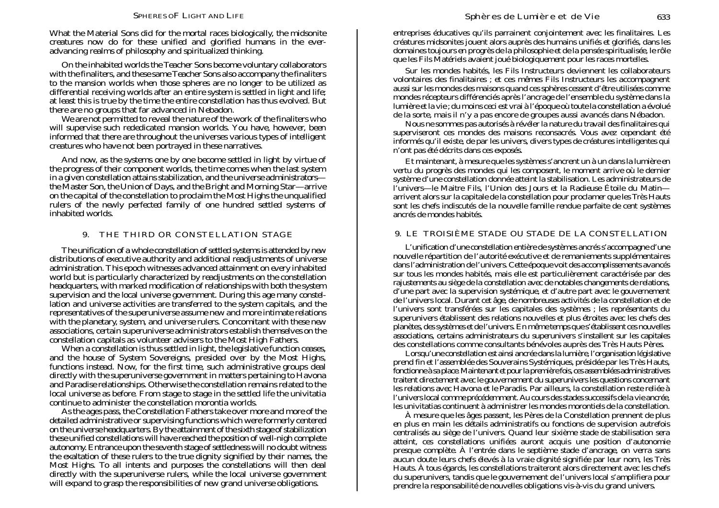#### Sphères de Lumière et de Vie 633

#### SPHERES OF LIGHT AND LIFE

What the Material Sons did for the mortal races biologically, the midsonite creatures now do for these unified and glorified humans in the everadvancing realms of philosophy and spiritualized thinking.

On the inhabited worlds the Teacher Sons become voluntary collaborators with the finaliters, and these same Teacher Sons also accompany the finaliters to the mansion worlds when those spheres are no longer to be utilized as differential receiving worlds after an entire system is settled in light and life; at least this is true by the time the entire constellation has thus evolved. But there are no groups that far advanced in Nebadon.

We are not permitted to reveal the nature of the work of the finaliters who will supervise such rededicated mansion worlds. You have, however, been informed that there are throughout the universes various types of intelligent creatures who have not been portrayed in these narratives.

And now, as the systems one by one become settled in light by virtue of the progress of their component worlds, the time comes when the last system in a given constellation attains stabilization, and the universe administrators the Master Son, the Union of Days, and the Bright and Morning Star—arrive on the capital of the constellation to proclaim the Most Highs the unqualified rulers of the newly perfected family of one hundred settled systems of inhabited worlds.

#### 9. THE THIRD OR CONSTELLATION STAGE

The unification of a whole constellation of settled systems is attended by new distributions of executive authority and additional readjustments of universe administration. This epoch witnesses advanced attainment on every inhabited world but is particularly characterized by readjustments on the constellation headquarters, with marked modification of relationships with both the system supervision and the local universe government. During this age many constellation and universe activities are transferred to the system capitals, and the representatives of the superuniverse assume new and more intimate relations with the planetary, system, and universe rulers. Concomitant with these new associations, certain superuniverse administrators establish themselves on the constellation capitals as volunteer advisers to the Most High Fathers.

When a constellation is thus settled in light, the legislative function ceases, and the house of System Sovereigns, presided over by the Most Highs, functions instead. Now, for the first time, such administrative groups deal directly with the superuniverse government in matters pertaining to Havona and Paradise relationships. Otherwise the constellation remains related to the local universe as before. From stage to stage in the settled life the univitatia continue to administer the constellation morontia worlds.

As the ages pass, the Constellation Fathers take over more and more of the detailed administrative or supervising functions which were formerly centered on the universe headquarters. By the attainment of the sixth stage of stabilization these unified constellations will have reached the position of well-nigh complete autonomy. Entrance upon the seventh stage of settledness will no doubt witness the exaltation of these rulers to the true dignity signified by their names, the Most Highs. To all intents and purposes the constellations will then deal directly with the superuniverse rulers, while the local universe government will expand to grasp the responsibilities of new grand universe obligations.

entreprises éducatives qu'ils parrainent conjointement avec les finalitaires. Les créatures midsonites jouent alors auprès des humains unifiés et glorifiés, dans les domaines toujours en progrès de la philosophie et de la pensée spiritualisée, le rôle que les Fils Matériels avaient joué biologiquement pour les races mortelles.

Sur les mondes habités, les Fils Instructeurs deviennent les collaborateurs volontaires des finalitaires ; et ces mêmes Fils Instructeurs les accompagnent aussi sur les mondes des maisons quand ces sphères cessent d'être utilisées comme mondes récepteurs différenciés après l'ancrage de l'ensemble du système dans la lumière et la vie ; du moins ceci est vrai à l'époque où toute la constellation a évolué de la sorte, mais il n'y a pas encore de groupes aussi avancés dans Nébadon.

Nous ne sommes pas autorisés à révéler la nature du travail des finalitaires qui superviseront ces mondes des maisons reconsacrés. Vous avez cependant été informés qu'il existe, de par les univers, divers types de créatures intelligentes qui n'ont pas été décrits dans ces exposés.

Et maintenant, à mesure que les systèmes s'ancrent un à un dans la lumière en vertu du progrès des mondes qui les composent, le moment arrive où le dernier système d'une constellation donnée atteint la stabilisation. Les administrateurs de l'univers—le Maitre Fils, l'Union des Jours et la Radieuse Étoile du Matin arrivent alors sur la capitale de la constellation pour proclamer que les Très Hauts sont les chefs indiscutés de la nouvelle famille rendue parfaite de cent systèmes ancrés de mondes habités.

#### 9. LE TROISIÈME STADE OU STADE DE LA CONSTELLATION

L'unification d'une constellation entière de systèmes ancrés s'accompagne d'une nouvelle répartition de l'autorité exécutive et de remaniements supplémentaires dans l'administration de l'univers. Cette époque voit des accomplissements avancés sur tous les mondes habités, mais elle est particulièrement caractérisée par des rajustements au siège de la constellation avec de notables changements de relations, d'une part avec la supervision systémique, et d'autre part avec le gouvernement de l'univers local. Durant cet âge, de nombreuses activités de la constellation et de l'univers sont transférées sur les capitales des systèmes ; les représentants du superunivers établissent des relations nouvelles et plus étroites avec les chefs des planètes, des systèmes et de l'univers. En même temps que s'établissent ces nouvelles associations, certains administrateurs du superunivers s'installent sur les capitales des constellations comme consultants bénévoles auprès des Très Hauts Pères.

Lorsqu'une constellation est ainsi ancrée dans la lumière, l'organisation législative prend fin et l'assemblée des Souverains Systémiques, présidée par les Très Hauts, fonctionne à sa place. Maintenant et pour la première fois, ces assemblées administratives traitent directement avec le gouvernement du superunivers les questions concernant les relations avec Havona et le Paradis. Par ailleurs, la constellation reste reliée à l'univers local comme précédemment. Au cours des stades successifs de la vie ancrée, les univitatias continuent à administrer les mondes morontiels de la constellation.

À mesure que les âges passent, les Pères de la Constellation prennent de plus en plus en main les détails administratifs ou fonctions de supervision autrefois centralisés au siège de l'univers. Quand leur sixième stade de stabilisation sera atteint, ces constellations unifiées auront acquis une position d'autonomie presque complète. À l'entrée dans le septième stade d'ancrage, on verra sans aucun doute leurs chefs élevés à la vraie dignité signifiée par leur nom, les Très Hauts. À tous égards, les constellations traiteront alors directement avec les chefs du superunivers, tandis que le gouvernement de l'univers local s'amplifiera pour prendre la responsabilité de nouvelles obligations vis-à-vis du grand univers.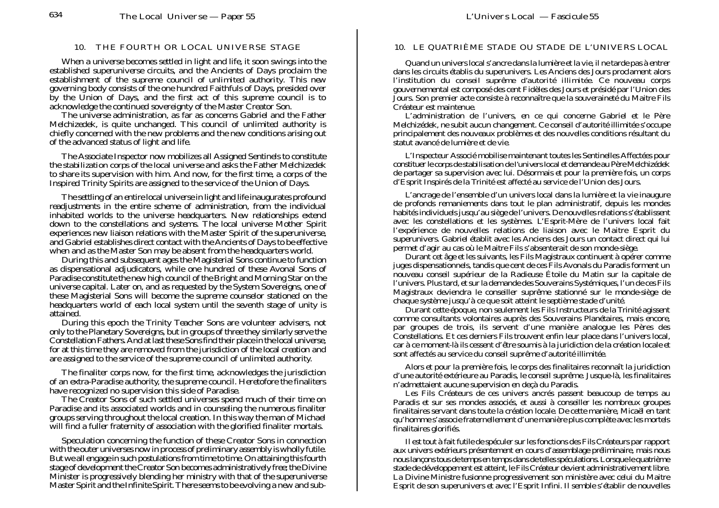## 10. THE FOURTH OR LOCAL UNIVERSE STAGE

When a universe becomes settled in light and life, it soon swings into the established superuniverse circuits, and the Ancients of Days proclaim the establishment of the *supreme council of unlimited authority.* This new governing body consists of the one hundred Faithfuls of Days, presided over by the Union of Days, and the first act of this supreme council is to acknowledge the continued sovereignty of the Master Creator Son.

The universe administration, as far as concerns Gabriel and the Father Melchizedek, is quite unchanged. This council of unlimited authority is chiefly concerned with the new problems and the new conditions arising out of the advanced status of light and life.

The Associate Inspector now mobilizes all Assigned Sentinels to constitute the *stabilization corps of the local universe* and asks the Father Melchizedek to share its supervision with him. And now, for the first time, a corps of the Inspired Trinity Spirits are assigned to the service of the Union of Days.

The settling of an entire local universe in light and life inaugurates profound readjustments in the entire scheme of administration, from the individual inhabited worlds to the universe headquarters. New relationships extend down to the constellations and systems. The local universe Mother Spirit experiences new liaison relations with the Master Spirit of the superuniverse, and Gabriel establishes direct contact with the Ancients of Days to be effective when and as the Master Son may be absent from the headquarters world.

During this and subsequent ages the Magisterial Sons continue to function as dispensational adjudicators, while one hundred of these Avonal Sons of Paradise constitute the new high council of the Bright and Morning Star on the universe capital. Later on, and as requested by the System Sovereigns, one of these Magisterial Sons will become the supreme counselor stationed on the headquarters world of each local system until the seventh stage of unity is attained.

During this epoch the Trinity Teacher Sons are volunteer advisers, not only to the Planetary Sovereigns, but in groups of three they similarly serve the Constellation Fathers. And at last these Sons find their place in the local universe, for at this time they are removed from the jurisdiction of the local creation and are assigned to the service of the supreme council of unlimited authority.

The finaliter corps now, for the first time, acknowledges the jurisdiction of an extra-Paradise authority, the supreme council. Heretofore the finaliters have recognized no supervision this side of Paradise.

The Creator Sons of such settled universes spend much of their time on Paradise and its associated worlds and in counseling the numerous finaliter groups serving throughout the local creation. In this way the man of Michael will find a fuller fraternity of association with the glorified finaliter mortals.

Speculation concerning the function of these Creator Sons in connection with the outer universes now in process of preliminary assembly is wholly futile. But we all engage in such postulations from time to time. On attaining this fourth stage of development the Creator Son becomes administratively free; the Divine Minister is progressively blending her ministry with that of the superuniverse Master Spirit and the Infinite Spirit. There seems to be evolving a new and sub-

## 10. LE QUATRIÈME STADE OU STADE DE L'UNIVERS LOCAL

Quand un univers local s'ancre dans la lumière et la vie, il ne tarde pas à entrer dans les circuits établis du superunivers. Les Anciens des Jours proclament alors l'institution du *conseil suprême d'autorité illimitée*. Ce nouveau corps gouvernemental est composé des cent Fidèles des Jours et présidé par l'Union des Jours. Son premier acte consiste à reconnaître que la souveraineté du Maitre Fils Créateur est maintenue.

L'administration de l'univers, en ce qui concerne Gabriel et le Père Melchizédek, ne subit aucun changement. Ce conseil d'autorité illimitée s'occupe principalement des nouveaux problèmes et des nouvelles conditions résultant du statut avancé de lumière et de vie.

L'Inspecteur Associé mobilise maintenant toutes les Sentinelles Affectées pour constituer le *corps de stabilisation de l'univers local* et demande au Père Melchizédek de partager sa supervision avec lui. Désormais et pour la première fois, un corps d'Esprit Inspirés de la Trinité est affecté au service de l'Union des Jours.

L'ancrage de l'ensemble d'un univers local dans la lumière et la vie inaugure de profonds remaniements dans tout le plan administratif, depuis les mondes habités individuels jusqu'au siège de l'univers. De nouvelles relations s'établissent avec les constellations et les systèmes. L'Esprit-Mère de l'univers local fait l'expérience de nouvelles relations de liaison avec le Maitre Esprit du superunivers. Gabriel établit avec les Anciens des Jours un contact direct qui lui permet d'agir au cas où le Maitre Fils s'absenterait de son monde-siège.

Durant cet âge et les suivants, les Fils Magistraux continuent à opérer comme nouveau conseil supérieur de la Radieuse Étoile du Matin sur la capitale de l'univers. Plus tard, et sur la demande des Souverains Systémiques, l'un de ces Fils Magistraux deviendra le conseiller suprême stationné sur le monde-siège de chaque système jusqu'à ce que soit atteint le septième stade d'unité.

Durant cette époque, non seulement les Fils Instructeurs de la Trinité agissent comme consultants volontaires auprès des Souverains Planétaires, mais encore, par groupes de trois, ils servent d'une manière analogue les Pères des Constellations. Et ces derniers Fils trouvent enfin leur place dans l'univers local, car à ce moment-là ils cessent d'être soumis à la juridiction de la création locale et sont affectés au service du conseil suprême d'autorité illimitée.

Alors et pour la première fois, le corps des finalitaires reconnaît la juridiction d'une autorité extérieure au Paradis, le conseil suprême. Jusque-là, les finalitaires n'admettaient aucune supervision en deçà du Paradis.

Les Fils Créateurs de ces univers ancrés passent beaucoup de temps au Paradis et sur ses mondes associés, et aussi à conseiller les nombreux groupes finalitaires servant dans toute la création locale. De cette manière, Micaël en tant qu'homme s'associe fraternellement d'une manière plus complète avec les mortels finalitaires glorifiés.

Il est tout à fait futile de spéculer sur les fonctions des Fils Créateurs par rapport aux univers extérieurs présentement en cours d'assemblage préliminaire, mais nous nous lançons tous de temps en temps dans de telles spéculations. Lorsque le quatrième stade de développement est atteint, le Fils Créateur devient administrativement libre. La Divine Ministre fusionne progressivement son ministère avec celui du Maitre Esprit de son superunivers et avec l'Esprit Infini. Il semble s'établir de nouvelles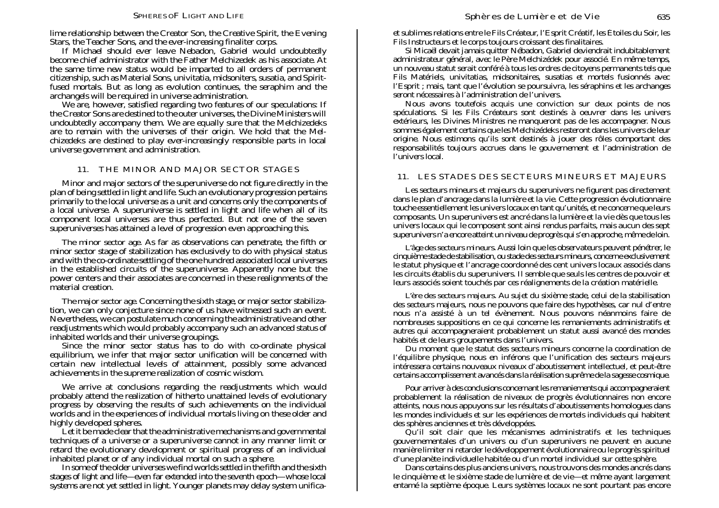lime relationship between the Creator Son, the Creative Spirit, the Evening Stars, the Teacher Sons, and the ever-increasing finaliter corps.

If Michael should ever leave Nebadon, Gabriel would undoubtedly become chief administrator with the Father Melchizedek as his associate. At the same time new status would be imparted to all orders of permanent citizenship, such as Material Sons, univitatia, midsoniters, susatia, and Spiritfused mortals. But as long as evolution continues, the seraphim and the archangels will be required in universe administration.

We are, however, satisfied regarding two features of our speculations: If the Creator Sons are destined to the outer universes, the Divine Ministers will undoubtedly accompany them. We are equally sure that the Melchizedeks are to remain with the universes of their origin. We hold that the Melchizedeks are destined to play ever-increasingly responsible parts in local universe government and administration.

#### 11. THE MINOR AND MAJOR SECTOR STAGES

Minor and major sectors of the superuniverse do not figure directly in the plan of being settled in light and life. Such an evolutionary progression pertains primarily to the local universe as a unit and concerns only the components of a local universe. A superuniverse is settled in light and life when all of its component local universes are thus perfected. But not one of the seven superuniverses has attained a level of progression even approaching this.

*The minor sector age.* As far as observations can penetrate, the fifth or minor sector stage of stabilization has exclusively to do with physical status and with the co-ordinate settling of the one hundred associated local universes in the established circuits of the superuniverse. Apparently none but the power centers and their associates are concerned in these realignments of the material creation.

*The major sector age.* Concerning the sixth stage, or major sector stabilization, we can only conjecture since none of us have witnessed such an event. Nevertheless, we can postulate much concerning the administrative and other readjustments which would probably accompany such an advanced status of inhabited worlds and their universe groupings.

Since the minor sector status has to do with co-ordinate physical equilibrium, we infer that major sector unification will be concerned with certain new intellectual levels of attainment, possibly some advanced achievements in the supreme realization of cosmic wisdom.

We arrive at conclusions regarding the readjustments which would probably attend the realization of hitherto unattained levels of evolutionary progress by observing the results of such achievements on the individual worlds and in the experiences of individual mortals living on these older and highly developed spheres.

Let it be made clear that the administrative mechanisms and governmental techniques of a universe or a superuniverse cannot in any manner limit or retard the evolutionary development or spiritual progress of an individual inhabited planet or of any individual mortal on such a sphere.

In some of the older universes we find worlds settled in the fifth and the sixth stages of light and life—even far extended into the seventh epoch—whose local systems are not yet settled in light. Younger planets may delay system unificaet sublimes relations entre le Fils Créateur, l'Esprit Créatif, les Étoiles du Soir, les Fils Instructeurs et le corps toujours croissant des finalitaires.

Si Micaël devait jamais quitter Nébadon, Gabriel deviendrait indubitablement administrateur général, avec le Père Melchizédek pour associé. En même temps, un nouveau statut serait conféré à tous les ordres de citoyens permanents tels que Fils Matériels, univitatias, midsonitaires, susatias et mortels fusionnés avec l'Esprit ; mais, tant que l'évolution se poursuivra, les séraphins et les archanges seront nécessaires à l'administration de l'univers.

Nous avons toutefois acquis une conviction sur deux points de nos spéculations. Si les Fils Créateurs sont destinés à oeuvrer dans les univers extérieurs, les Divines Ministres ne manqueront pas de les accompagner. Nous sommes également certains que les Melchizédeks resteront dans les univers de leur origine. Nous estimons qu'ils sont destinés à jouer des rôles comportant des responsabilités toujours accrues dans le gouvernement et l'administration de l'univers local.

#### 11. LES STADES DES SECTEURS MINEURS ET MAJEURS

Les secteurs mineurs et majeurs du superunivers ne figurent pas directement dans le plan d'ancrage dans la lumière et la vie. Cette progression évolutionnaire touche essentiellement les univers locaux en tant qu'unités, et ne concerne que leurs composants. Un superunivers est ancré dans la lumière et la vie dès que tous les univers locaux qui le composent sont ainsi rendus parfaits, mais aucun des sept superunivers n'a encore atteint un niveau de progrès qui s'en approche, même de loin.

*L'âge des secteurs mineurs*. Aussi loin que les observateurs peuvent pénétrer, le cinquième stade de stabilisation, ou stade des secteurs mineurs, concerne exclusivement le statut physique et l'ancrage coordonné des cent univers locaux associés dans les circuits établis du superunivers. Il semble que seuls les centres de pouvoir et leurs associés soient touchés par ces réalignements de la création matérielle.

*L'ère des secteurs majeurs.* Au sujet du sixième stade, celui de la stabilisation des secteurs majeurs, nous ne pouvons que faire des hypothèses, car nul d'entre nous n'a assisté à un tel évènement. Nous pouvons néanmoins faire de nombreuses suppositions en ce qui concerne les remaniements administratifs et autres qui accompagneraient probablement un statut aussi avancé des mondes habités et de leurs groupements dans l'univers.

Du moment que le statut des secteurs mineurs concerne la coordination de l'équilibre physique, nous en inférons que l'unification des secteurs majeurs intéressera certains nouveaux niveaux d'aboutissement intellectuel, et peut-être certains accomplissement avancés dans la réalisation suprême de la sagesse cosmique.

Pour arriver à des conclusions concernant les remaniements qui accompagneraient probablement la réalisation de niveaux de progrès évolutionnaires non encore atteints, nous nous appuyons sur les résultats d'aboutissements homologues dans les mondes individuels et sur les expériences de mortels individuels qui habitent des sphères anciennes et très développées.

Qu'il soit clair que les mécanismes administratifs et les techniques gouvernementales d'un univers ou d'un superunivers ne peuvent en aucune manière limiter ni retarder le développement évolutionnaire ou le progrès spirituel d'une planète individuelle habitée ou d'un mortel individuel sur cette sphère.

Dans certains des plus anciens univers, nous trouvons des mondes ancrés dans le cinquième et le sixième stade de lumière et de vie—et même ayant largement entamé la septième époque. Leurs systèmes locaux ne sont pourtant pas encore